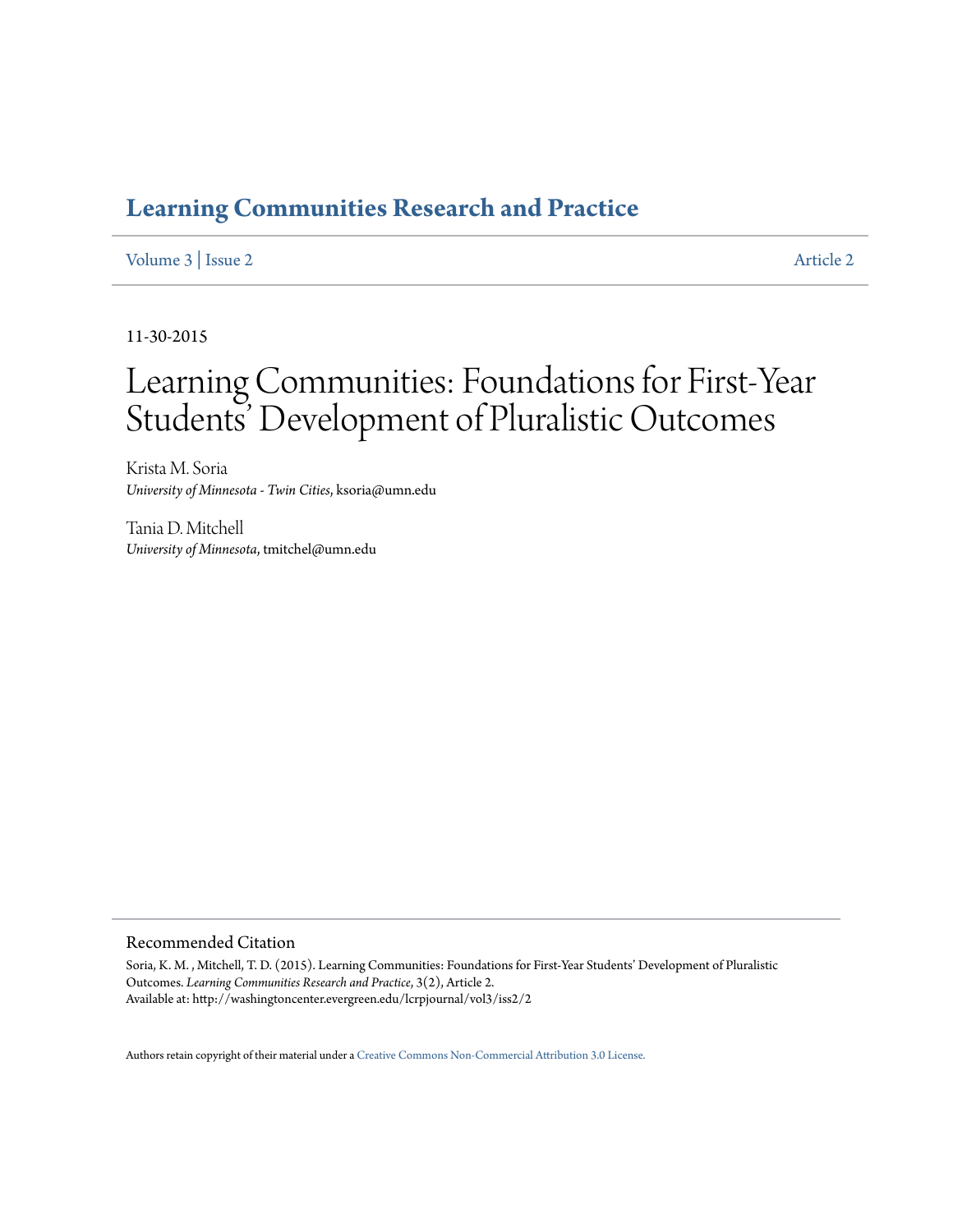# **[Learning Communities Research and Practice](http://washingtoncenter.evergreen.edu/lcrpjournal)**

# [Volume 3](http://washingtoncenter.evergreen.edu/lcrpjournal/vol3) | [Issue 2](http://washingtoncenter.evergreen.edu/lcrpjournal/vol3/iss2) [Article 2](http://washingtoncenter.evergreen.edu/lcrpjournal/vol3/iss2/2)

11-30-2015

# Learning Communities: Foundations for First-Year Students' Development of Pluralistic Outcomes

Krista M. Soria *University of Minnesota - Twin Cities*, ksoria@umn.edu

Tania D. Mitchell *University of Minnesota*, tmitchel@umn.edu

## Recommended Citation

Soria, K. M. , Mitchell, T. D. (2015). Learning Communities: Foundations for First-Year Students' Development of Pluralistic Outcomes. *Learning Communities Research and Practice*, 3(2), Article 2. Available at: http://washingtoncenter.evergreen.edu/lcrpjournal/vol3/iss2/2

Authors retain copyright of their material under a [Creative Commons Non-Commercial Attribution 3.0 License.](http://creativecommons.org/licenses/by-nc/3.0/)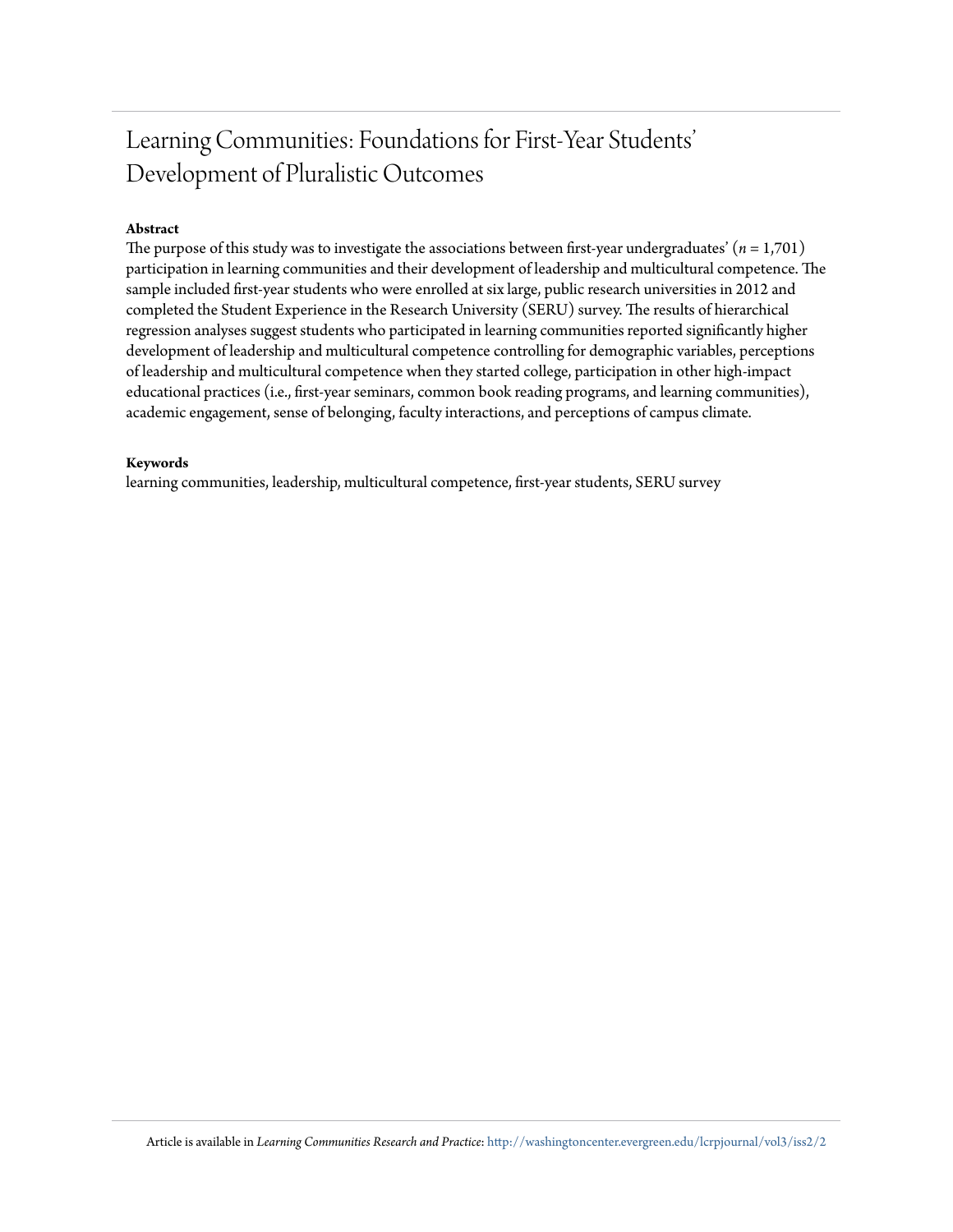# Learning Communities: Foundations for First-Year Students' Development of Pluralistic Outcomes

# **Abstract**

The purpose of this study was to investigate the associations between first-year undergraduates'  $(n = 1,701)$ participation in learning communities and their development of leadership and multicultural competence. The sample included first-year students who were enrolled at six large, public research universities in 2012 and completed the Student Experience in the Research University (SERU) survey. The results of hierarchical regression analyses suggest students who participated in learning communities reported significantly higher development of leadership and multicultural competence controlling for demographic variables, perceptions of leadership and multicultural competence when they started college, participation in other high-impact educational practices (i.e., first-year seminars, common book reading programs, and learning communities), academic engagement, sense of belonging, faculty interactions, and perceptions of campus climate.

#### **Keywords**

learning communities, leadership, multicultural competence, first-year students, SERU survey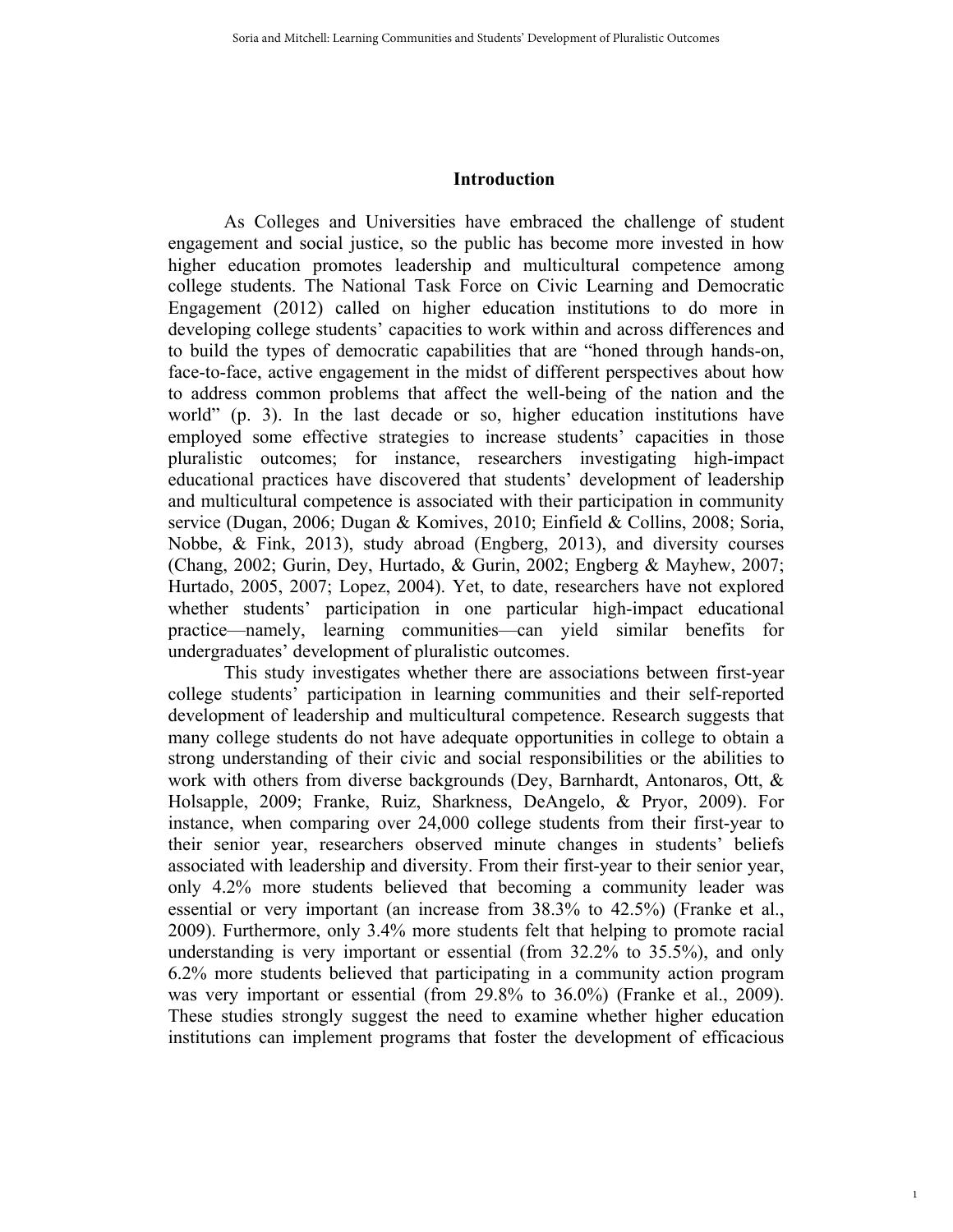# **Introduction**

As Colleges and Universities have embraced the challenge of student engagement and social justice, so the public has become more invested in how higher education promotes leadership and multicultural competence among college students. The National Task Force on Civic Learning and Democratic Engagement (2012) called on higher education institutions to do more in developing college students' capacities to work within and across differences and to build the types of democratic capabilities that are "honed through hands-on, face-to-face, active engagement in the midst of different perspectives about how to address common problems that affect the well-being of the nation and the world" (p. 3). In the last decade or so, higher education institutions have employed some effective strategies to increase students' capacities in those pluralistic outcomes; for instance, researchers investigating high-impact educational practices have discovered that students' development of leadership and multicultural competence is associated with their participation in community service (Dugan, 2006; Dugan & Komives, 2010; Einfield & Collins, 2008; Soria, Nobbe, & Fink, 2013), study abroad (Engberg, 2013), and diversity courses (Chang, 2002; Gurin, Dey, Hurtado, & Gurin, 2002; Engberg & Mayhew, 2007; Hurtado, 2005, 2007; Lopez, 2004). Yet, to date, researchers have not explored whether students' participation in one particular high-impact educational practice—namely, learning communities—can yield similar benefits for undergraduates' development of pluralistic outcomes.

This study investigates whether there are associations between first-year college students' participation in learning communities and their self-reported development of leadership and multicultural competence. Research suggests that many college students do not have adequate opportunities in college to obtain a strong understanding of their civic and social responsibilities or the abilities to work with others from diverse backgrounds (Dey, Barnhardt, Antonaros, Ott, & Holsapple, 2009; Franke, Ruiz, Sharkness, DeAngelo, & Pryor, 2009). For instance, when comparing over 24,000 college students from their first-year to their senior year, researchers observed minute changes in students' beliefs associated with leadership and diversity. From their first-year to their senior year, only 4.2% more students believed that becoming a community leader was essential or very important (an increase from 38.3% to 42.5%) (Franke et al., 2009). Furthermore, only 3.4% more students felt that helping to promote racial understanding is very important or essential (from 32.2% to 35.5%), and only 6.2% more students believed that participating in a community action program was very important or essential (from 29.8% to 36.0%) (Franke et al., 2009). These studies strongly suggest the need to examine whether higher education institutions can implement programs that foster the development of efficacious

1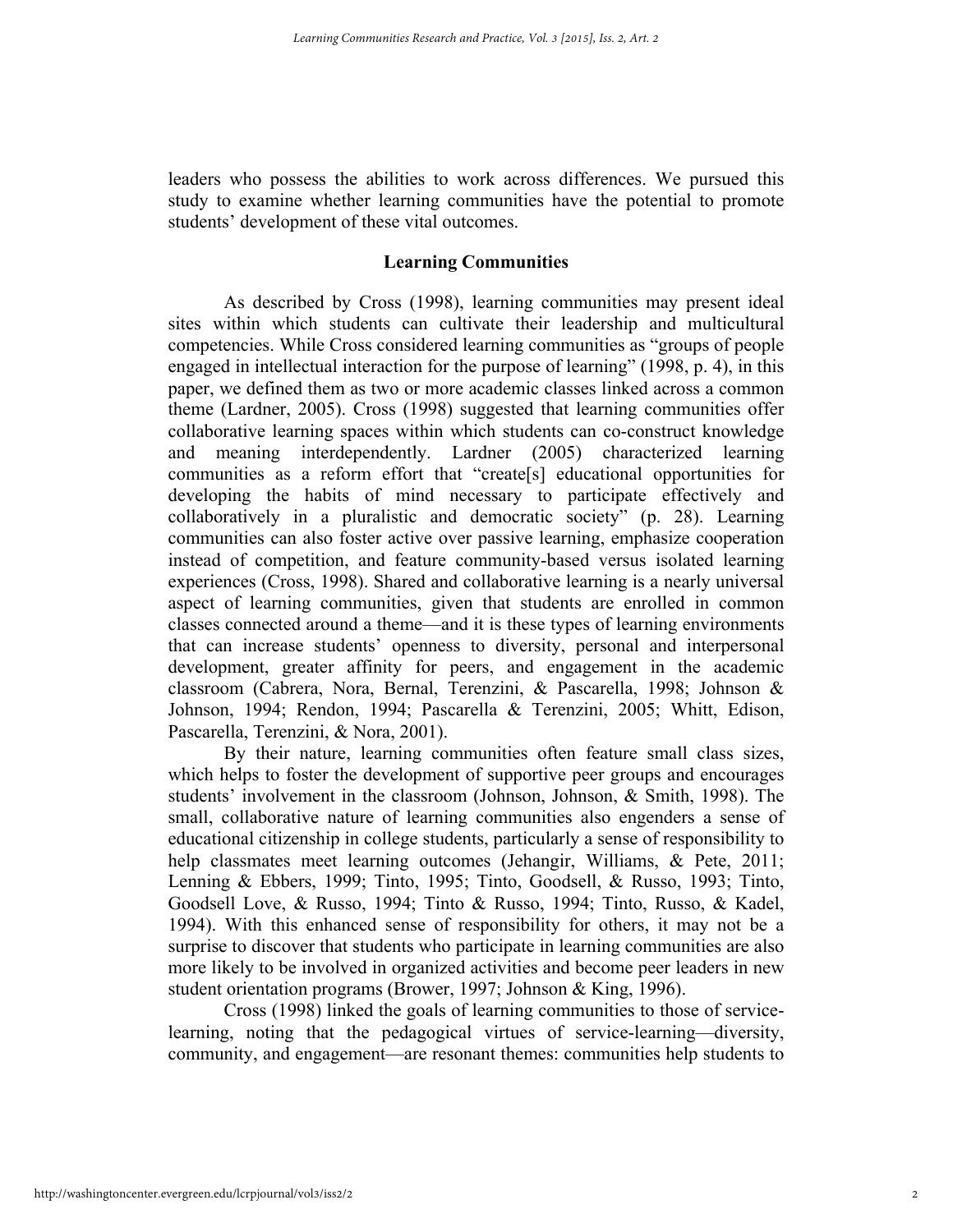leaders who possess the abilities to work across differences. We pursued this study to examine whether learning communities have the potential to promote students' development of these vital outcomes.

## **Learning Communities**

As described by Cross (1998), learning communities may present ideal sites within which students can cultivate their leadership and multicultural competencies. While Cross considered learning communities as "groups of people engaged in intellectual interaction for the purpose of learning" (1998, p. 4), in this paper, we defined them as two or more academic classes linked across a common theme (Lardner, 2005). Cross (1998) suggested that learning communities offer collaborative learning spaces within which students can co-construct knowledge and meaning interdependently. Lardner (2005) characterized learning communities as a reform effort that "create[s] educational opportunities for developing the habits of mind necessary to participate effectively and collaboratively in a pluralistic and democratic society" (p. 28). Learning communities can also foster active over passive learning, emphasize cooperation instead of competition, and feature community-based versus isolated learning experiences (Cross, 1998). Shared and collaborative learning is a nearly universal aspect of learning communities, given that students are enrolled in common classes connected around a theme—and it is these types of learning environments that can increase students' openness to diversity, personal and interpersonal development, greater affinity for peers, and engagement in the academic classroom (Cabrera, Nora, Bernal, Terenzini, & Pascarella, 1998; Johnson & Johnson, 1994; Rendon, 1994; Pascarella & Terenzini, 2005; Whitt, Edison, Pascarella, Terenzini, & Nora, 2001).

By their nature, learning communities often feature small class sizes, which helps to foster the development of supportive peer groups and encourages students' involvement in the classroom (Johnson, Johnson, & Smith, 1998). The small, collaborative nature of learning communities also engenders a sense of educational citizenship in college students, particularly a sense of responsibility to help classmates meet learning outcomes (Jehangir, Williams, & Pete, 2011; Lenning & Ebbers, 1999; Tinto, 1995; Tinto, Goodsell, & Russo, 1993; Tinto, Goodsell Love, & Russo, 1994; Tinto & Russo, 1994; Tinto, Russo, & Kadel, 1994). With this enhanced sense of responsibility for others, it may not be a surprise to discover that students who participate in learning communities are also more likely to be involved in organized activities and become peer leaders in new student orientation programs (Brower, 1997; Johnson & King, 1996).

Cross (1998) linked the goals of learning communities to those of servicelearning, noting that the pedagogical virtues of service-learning—diversity, community, and engagement—are resonant themes: communities help students to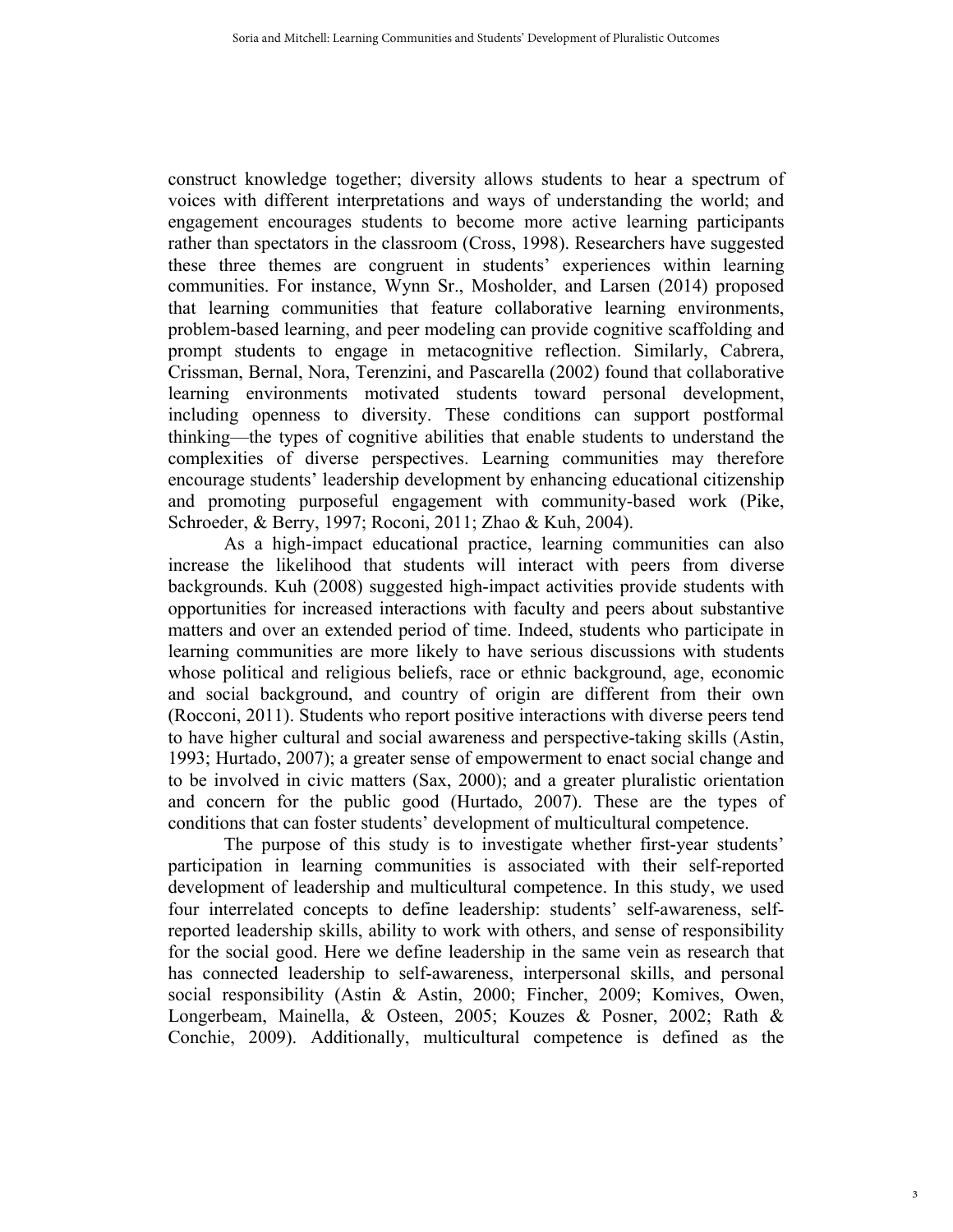construct knowledge together; diversity allows students to hear a spectrum of voices with different interpretations and ways of understanding the world; and engagement encourages students to become more active learning participants rather than spectators in the classroom (Cross, 1998). Researchers have suggested these three themes are congruent in students' experiences within learning communities. For instance, Wynn Sr., Mosholder, and Larsen (2014) proposed that learning communities that feature collaborative learning environments, problem-based learning, and peer modeling can provide cognitive scaffolding and prompt students to engage in metacognitive reflection. Similarly, Cabrera, Crissman, Bernal, Nora, Terenzini, and Pascarella (2002) found that collaborative learning environments motivated students toward personal development, including openness to diversity. These conditions can support postformal thinking—the types of cognitive abilities that enable students to understand the complexities of diverse perspectives. Learning communities may therefore encourage students' leadership development by enhancing educational citizenship and promoting purposeful engagement with community-based work (Pike, Schroeder, & Berry, 1997; Roconi, 2011; Zhao & Kuh, 2004).

As a high-impact educational practice, learning communities can also increase the likelihood that students will interact with peers from diverse backgrounds. Kuh (2008) suggested high-impact activities provide students with opportunities for increased interactions with faculty and peers about substantive matters and over an extended period of time. Indeed, students who participate in learning communities are more likely to have serious discussions with students whose political and religious beliefs, race or ethnic background, age, economic and social background, and country of origin are different from their own (Rocconi, 2011). Students who report positive interactions with diverse peers tend to have higher cultural and social awareness and perspective-taking skills (Astin, 1993; Hurtado, 2007); a greater sense of empowerment to enact social change and to be involved in civic matters (Sax, 2000); and a greater pluralistic orientation and concern for the public good (Hurtado, 2007). These are the types of conditions that can foster students' development of multicultural competence.

The purpose of this study is to investigate whether first-year students' participation in learning communities is associated with their self-reported development of leadership and multicultural competence. In this study, we used four interrelated concepts to define leadership: students' self-awareness, selfreported leadership skills, ability to work with others, and sense of responsibility for the social good. Here we define leadership in the same vein as research that has connected leadership to self-awareness, interpersonal skills, and personal social responsibility (Astin & Astin, 2000; Fincher, 2009; Komives, Owen, Longerbeam, Mainella, & Osteen, 2005; Kouzes & Posner, 2002; Rath & Conchie, 2009). Additionally, multicultural competence is defined as the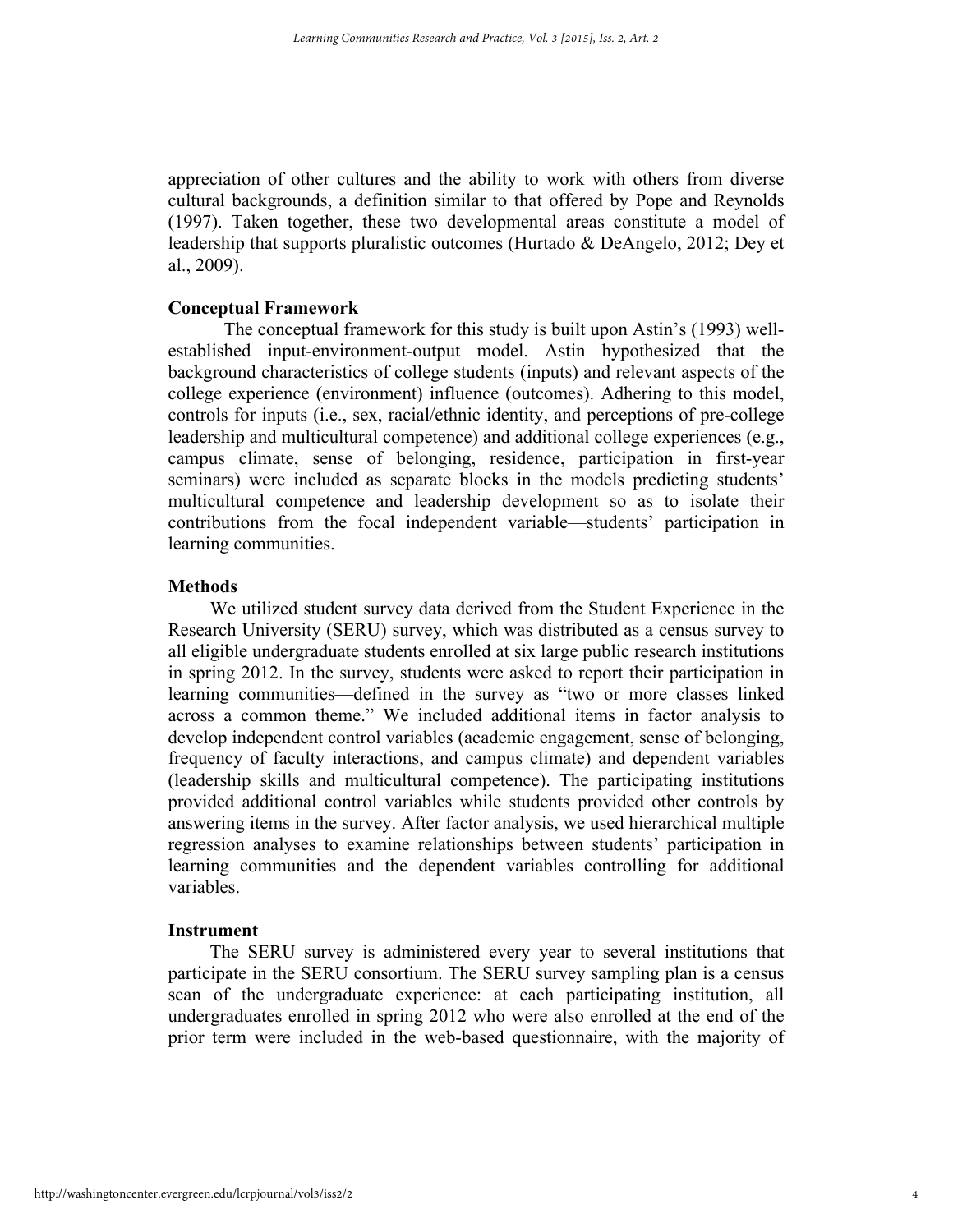appreciation of other cultures and the ability to work with others from diverse cultural backgrounds, a definition similar to that offered by Pope and Reynolds (1997). Taken together, these two developmental areas constitute a model of leadership that supports pluralistic outcomes (Hurtado & DeAngelo, 2012; Dey et al., 2009).

# **Conceptual Framework**

The conceptual framework for this study is built upon Astin's (1993) wellestablished input-environment-output model. Astin hypothesized that the background characteristics of college students (inputs) and relevant aspects of the college experience (environment) influence (outcomes). Adhering to this model, controls for inputs (i.e., sex, racial/ethnic identity, and perceptions of pre-college leadership and multicultural competence) and additional college experiences (e.g., campus climate, sense of belonging, residence, participation in first-year seminars) were included as separate blocks in the models predicting students' multicultural competence and leadership development so as to isolate their contributions from the focal independent variable—students' participation in learning communities.

# **Methods**

We utilized student survey data derived from the Student Experience in the Research University (SERU) survey, which was distributed as a census survey to all eligible undergraduate students enrolled at six large public research institutions in spring 2012. In the survey, students were asked to report their participation in learning communities—defined in the survey as "two or more classes linked across a common theme." We included additional items in factor analysis to develop independent control variables (academic engagement, sense of belonging, frequency of faculty interactions, and campus climate) and dependent variables (leadership skills and multicultural competence). The participating institutions provided additional control variables while students provided other controls by answering items in the survey. After factor analysis, we used hierarchical multiple regression analyses to examine relationships between students' participation in learning communities and the dependent variables controlling for additional variables.

#### **Instrument**

The SERU survey is administered every year to several institutions that participate in the SERU consortium. The SERU survey sampling plan is a census scan of the undergraduate experience: at each participating institution, all undergraduates enrolled in spring 2012 who were also enrolled at the end of the prior term were included in the web-based questionnaire, with the majority of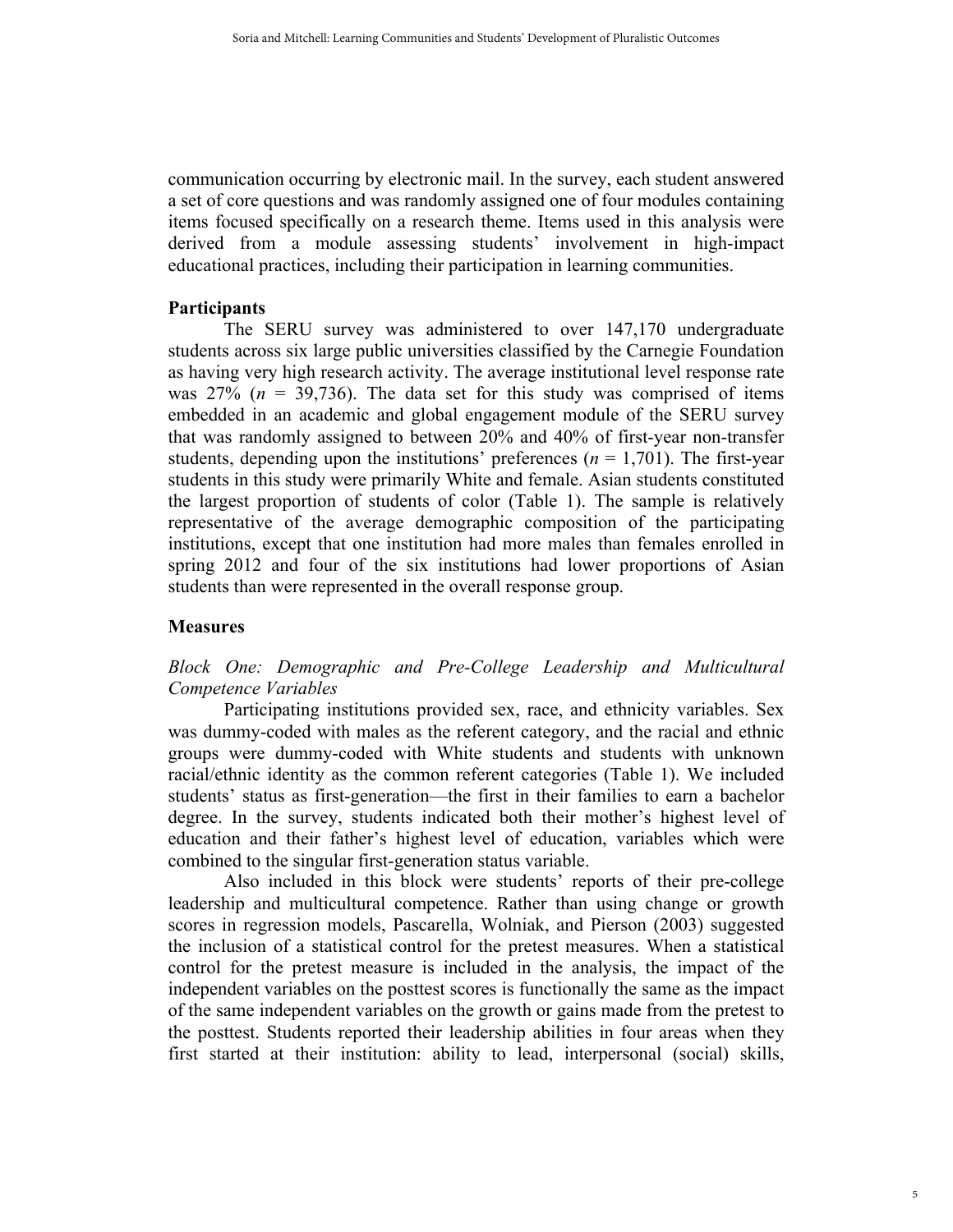communication occurring by electronic mail. In the survey, each student answered a set of core questions and was randomly assigned one of four modules containing items focused specifically on a research theme. Items used in this analysis were derived from a module assessing students' involvement in high-impact educational practices, including their participation in learning communities.

# **Participants**

The SERU survey was administered to over 147,170 undergraduate students across six large public universities classified by the Carnegie Foundation as having very high research activity. The average institutional level response rate was  $27\%$  ( $n = 39,736$ ). The data set for this study was comprised of items embedded in an academic and global engagement module of the SERU survey that was randomly assigned to between 20% and 40% of first-year non-transfer students, depending upon the institutions' preferences  $(n = 1,701)$ . The first-year students in this study were primarily White and female. Asian students constituted the largest proportion of students of color (Table 1). The sample is relatively representative of the average demographic composition of the participating institutions, except that one institution had more males than females enrolled in spring 2012 and four of the six institutions had lower proportions of Asian students than were represented in the overall response group.

# **Measures**

# *Block One: Demographic and Pre-College Leadership and Multicultural Competence Variables*

Participating institutions provided sex, race, and ethnicity variables. Sex was dummy-coded with males as the referent category, and the racial and ethnic groups were dummy-coded with White students and students with unknown racial/ethnic identity as the common referent categories (Table 1). We included students' status as first-generation—the first in their families to earn a bachelor degree. In the survey, students indicated both their mother's highest level of education and their father's highest level of education, variables which were combined to the singular first-generation status variable.

Also included in this block were students' reports of their pre-college leadership and multicultural competence. Rather than using change or growth scores in regression models, Pascarella, Wolniak, and Pierson (2003) suggested the inclusion of a statistical control for the pretest measures. When a statistical control for the pretest measure is included in the analysis, the impact of the independent variables on the posttest scores is functionally the same as the impact of the same independent variables on the growth or gains made from the pretest to the posttest. Students reported their leadership abilities in four areas when they first started at their institution: ability to lead, interpersonal (social) skills,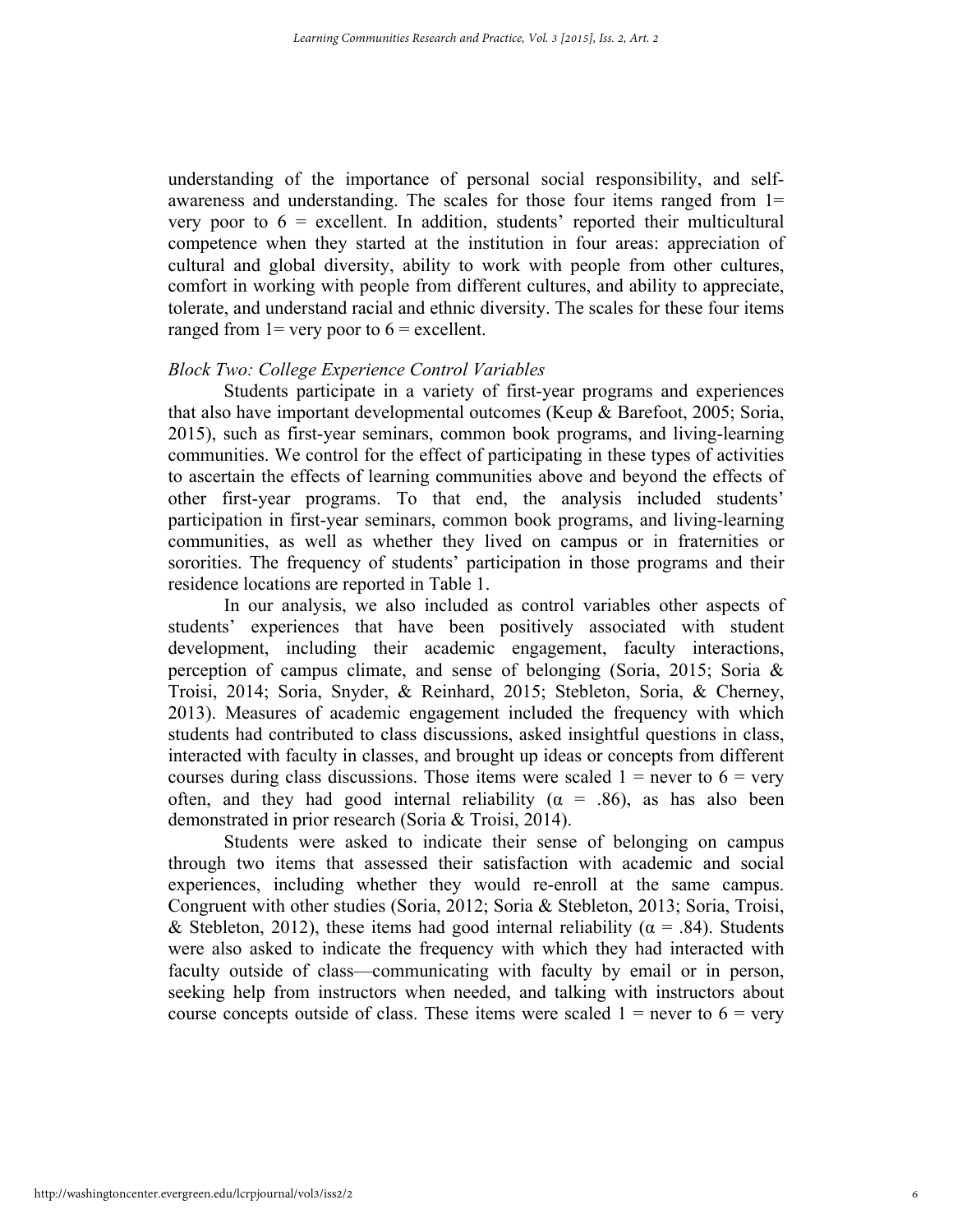understanding of the importance of personal social responsibility, and selfawareness and understanding. The scales for those four items ranged from 1= very poor to  $6 =$  excellent. In addition, students' reported their multicultural competence when they started at the institution in four areas: appreciation of cultural and global diversity, ability to work with people from other cultures, comfort in working with people from different cultures, and ability to appreciate, tolerate, and understand racial and ethnic diversity. The scales for these four items ranged from  $1$  = very poor to  $6$  = excellent.

# *Block Two: College Experience Control Variables*

Students participate in a variety of first-year programs and experiences that also have important developmental outcomes (Keup & Barefoot, 2005; Soria, 2015), such as first-year seminars, common book programs, and living-learning communities. We control for the effect of participating in these types of activities to ascertain the effects of learning communities above and beyond the effects of other first-year programs. To that end, the analysis included students' participation in first-year seminars, common book programs, and living-learning communities, as well as whether they lived on campus or in fraternities or sororities. The frequency of students' participation in those programs and their residence locations are reported in Table 1.

In our analysis, we also included as control variables other aspects of students' experiences that have been positively associated with student development, including their academic engagement, faculty interactions, perception of campus climate, and sense of belonging (Soria, 2015; Soria & Troisi, 2014; Soria, Snyder, & Reinhard, 2015; Stebleton, Soria, & Cherney, 2013). Measures of academic engagement included the frequency with which students had contributed to class discussions, asked insightful questions in class, interacted with faculty in classes, and brought up ideas or concepts from different courses during class discussions. Those items were scaled  $1 =$  never to  $6 =$  very often, and they had good internal reliability ( $\alpha$  = .86), as has also been demonstrated in prior research (Soria & Troisi, 2014).

Students were asked to indicate their sense of belonging on campus through two items that assessed their satisfaction with academic and social experiences, including whether they would re-enroll at the same campus. Congruent with other studies (Soria, 2012; Soria & Stebleton, 2013; Soria, Troisi, & Stebleton, 2012), these items had good internal reliability ( $\alpha$  = .84). Students were also asked to indicate the frequency with which they had interacted with faculty outside of class—communicating with faculty by email or in person, seeking help from instructors when needed, and talking with instructors about course concepts outside of class. These items were scaled  $1 =$  never to  $6 =$  very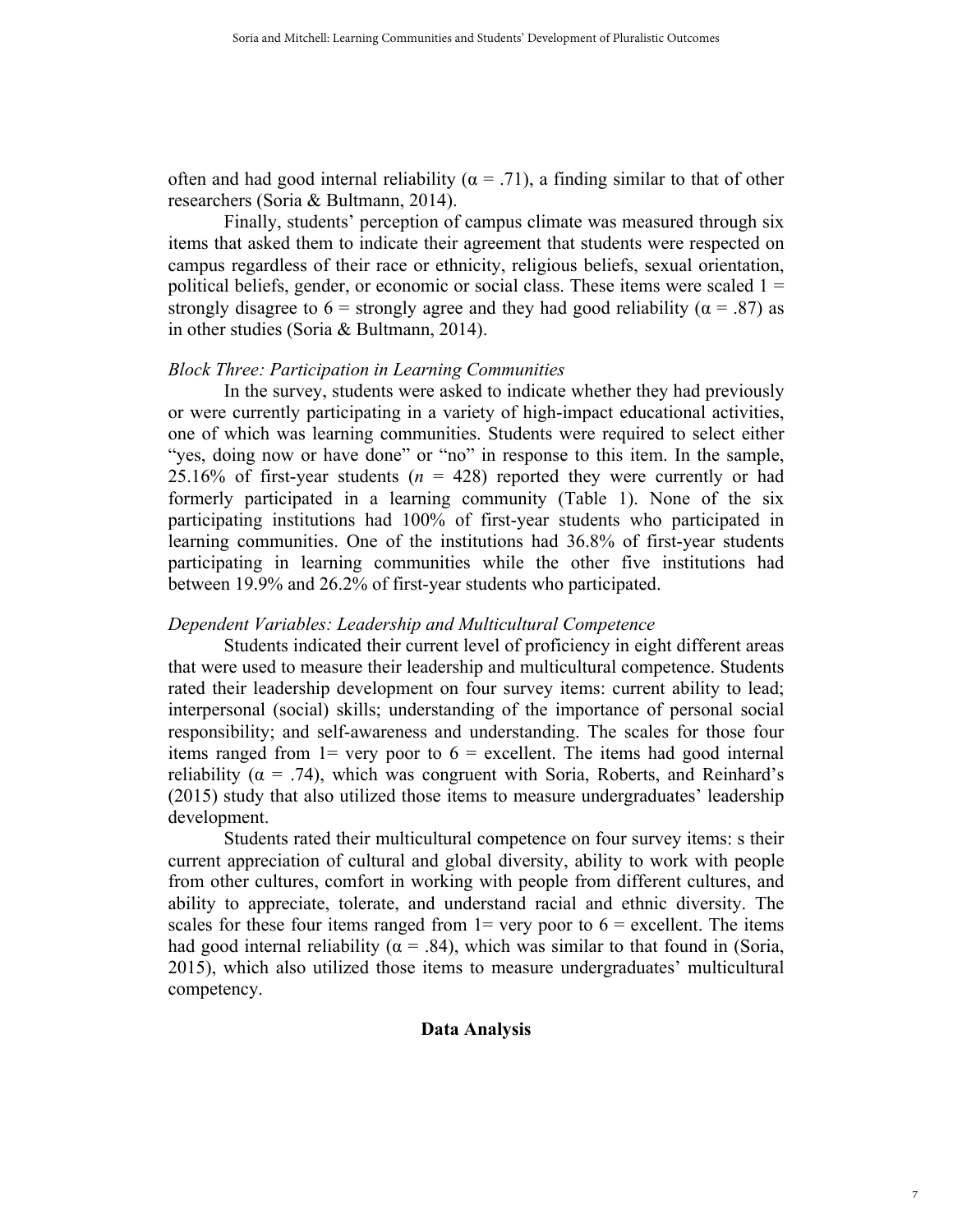often and had good internal reliability ( $\alpha$  = .71), a finding similar to that of other researchers (Soria & Bultmann, 2014).

Finally, students' perception of campus climate was measured through six items that asked them to indicate their agreement that students were respected on campus regardless of their race or ethnicity, religious beliefs, sexual orientation, political beliefs, gender, or economic or social class. These items were scaled  $1 =$ strongly disagree to 6 = strongly agree and they had good reliability ( $\alpha$  = .87) as in other studies (Soria & Bultmann, 2014).

### *Block Three: Participation in Learning Communities*

In the survey, students were asked to indicate whether they had previously or were currently participating in a variety of high-impact educational activities, one of which was learning communities. Students were required to select either "yes, doing now or have done" or "no" in response to this item. In the sample, 25.16% of first-year students  $(n = 428)$  reported they were currently or had formerly participated in a learning community (Table 1). None of the six participating institutions had 100% of first-year students who participated in learning communities. One of the institutions had 36.8% of first-year students participating in learning communities while the other five institutions had between 19.9% and 26.2% of first-year students who participated.

# *Dependent Variables: Leadership and Multicultural Competence*

Students indicated their current level of proficiency in eight different areas that were used to measure their leadership and multicultural competence. Students rated their leadership development on four survey items: current ability to lead; interpersonal (social) skills; understanding of the importance of personal social responsibility; and self-awareness and understanding. The scales for those four items ranged from  $1=$  very poor to  $6=$  excellent. The items had good internal reliability ( $\alpha$  = .74), which was congruent with Soria, Roberts, and Reinhard's (2015) study that also utilized those items to measure undergraduates' leadership development.

Students rated their multicultural competence on four survey items: s their current appreciation of cultural and global diversity, ability to work with people from other cultures, comfort in working with people from different cultures, and ability to appreciate, tolerate, and understand racial and ethnic diversity. The scales for these four items ranged from  $1=$  very poor to  $6=$  excellent. The items had good internal reliability ( $\alpha$  = .84), which was similar to that found in (Soria, 2015), which also utilized those items to measure undergraduates' multicultural competency.

# **Data Analysis**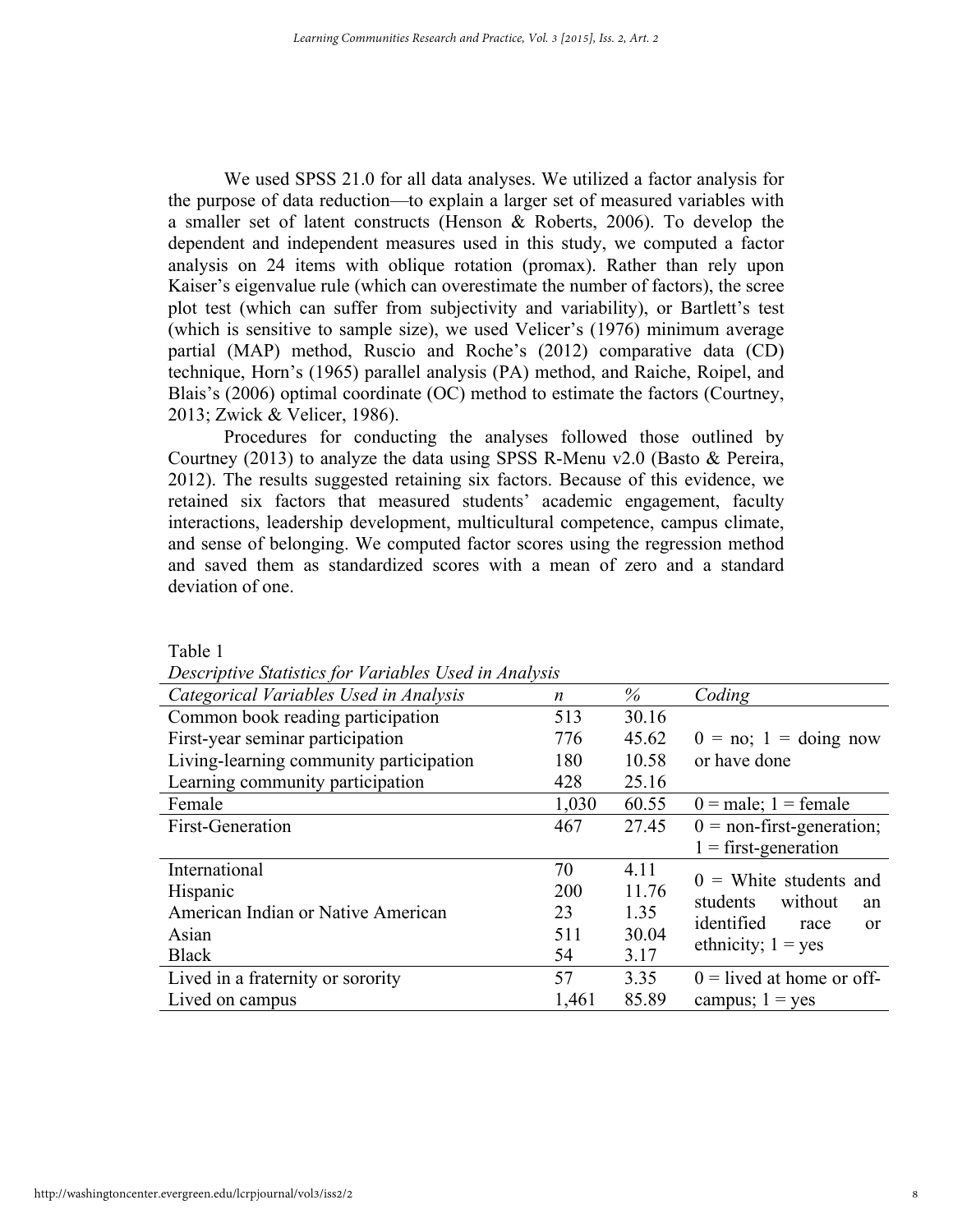We used SPSS 21.0 for all data analyses. We utilized a factor analysis for the purpose of data reduction—to explain a larger set of measured variables with a smaller set of latent constructs (Henson & Roberts, 2006). To develop the dependent and independent measures used in this study, we computed a factor analysis on 24 items with oblique rotation (promax). Rather than rely upon Kaiser's eigenvalue rule (which can overestimate the number of factors), the scree plot test (which can suffer from subjectivity and variability), or Bartlett's test (which is sensitive to sample size), we used Velicer's (1976) minimum average partial (MAP) method, Ruscio and Roche's (2012) comparative data (CD) technique, Horn's (1965) parallel analysis (PA) method, and Raiche, Roipel, and Blais's (2006) optimal coordinate (OC) method to estimate the factors (Courtney, 2013; Zwick & Velicer, 1986).

Procedures for conducting the analyses followed those outlined by Courtney (2013) to analyze the data using SPSS R-Menu v2.0 (Basto & Pereira, 2012). The results suggested retaining six factors. Because of this evidence, we retained six factors that measured students' academic engagement, faculty interactions, leadership development, multicultural competence, campus climate, and sense of belonging. We computed factor scores using the regression method and saved them as standardized scores with a mean of zero and a standard deviation of one.

| Descriptive Statistics for Tartactes Osca in Amarysis |       |       |                                               |
|-------------------------------------------------------|-------|-------|-----------------------------------------------|
| Categorical Variables Used in Analysis                | n     | %     | Coding                                        |
| Common book reading participation                     | 513   | 30.16 |                                               |
| First-year seminar participation                      | 776   | 45.62 | $0 = no$ ; $1 = doing now$                    |
| Living-learning community participation               | 180   | 10.58 | or have done                                  |
| Learning community participation                      | 428   | 25.16 |                                               |
| Female                                                | 1,030 | 60.55 | $0 = male$ ; 1 = female                       |
| First-Generation                                      | 467   | 27.45 | $0 =$ non-first-generation;                   |
|                                                       |       |       | $1 =$ first-generation                        |
| International                                         | 70    | 4.11  | $0 =$ White students and                      |
| Hispanic                                              | 200   | 11.76 | students<br>without                           |
| American Indian or Native American                    | 23    | 1.35  | an<br>identified                              |
| Asian                                                 | 511   | 30.04 | race<br><sub>or</sub><br>ethnicity; $1 = yes$ |
| <b>Black</b>                                          | 54    | 3.17  |                                               |
| Lived in a fraternity or sorority                     | 57    | 3.35  | $0 =$ lived at home or off-                   |
| Lived on campus                                       | 1,461 | 85.89 | campus; $1 = yes$                             |

Table 1

*Descriptive Statistics for Variables Used in Analysis*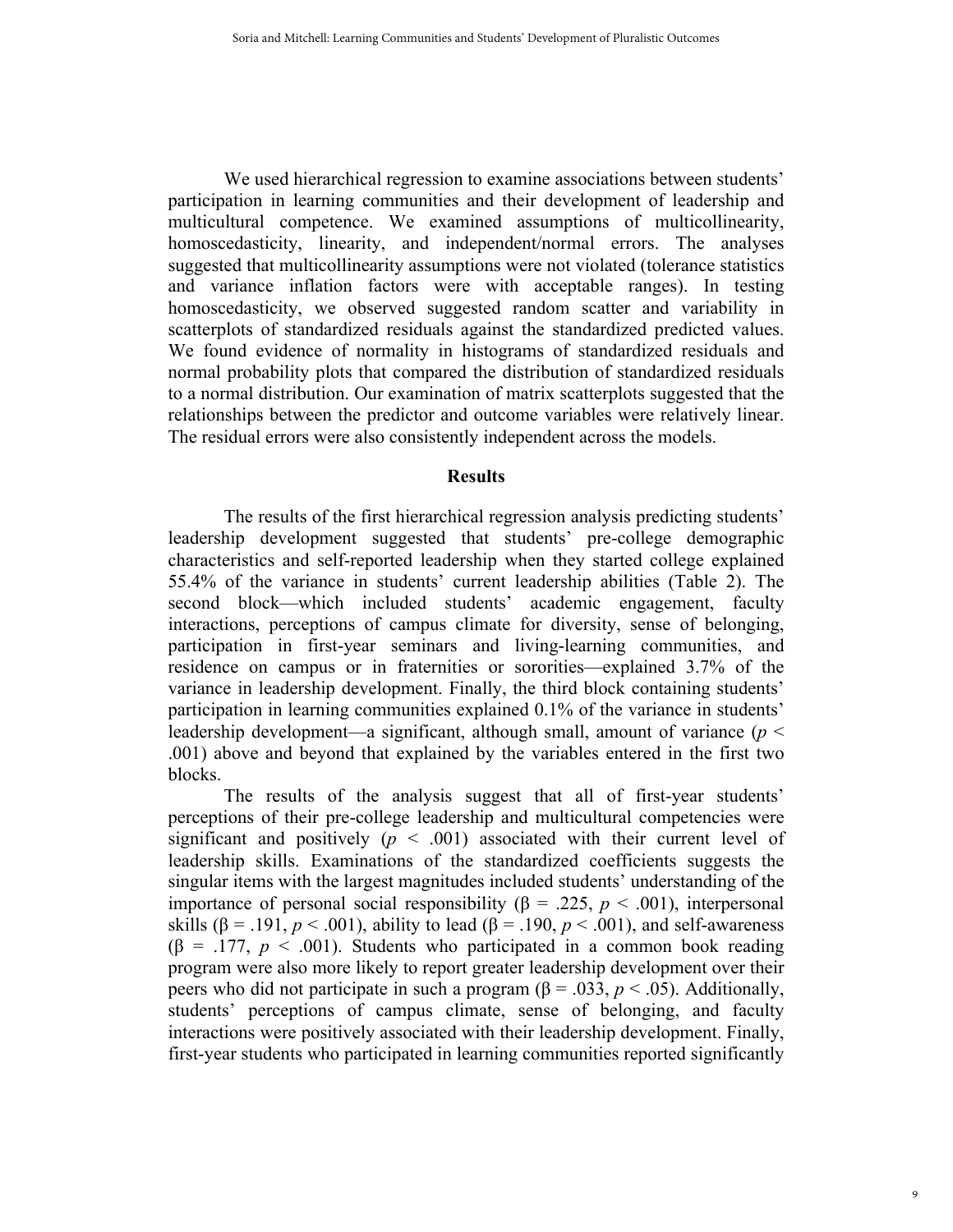We used hierarchical regression to examine associations between students' participation in learning communities and their development of leadership and multicultural competence. We examined assumptions of multicollinearity, homoscedasticity, linearity, and independent/normal errors. The analyses suggested that multicollinearity assumptions were not violated (tolerance statistics and variance inflation factors were with acceptable ranges). In testing homoscedasticity, we observed suggested random scatter and variability in scatterplots of standardized residuals against the standardized predicted values. We found evidence of normality in histograms of standardized residuals and normal probability plots that compared the distribution of standardized residuals to a normal distribution. Our examination of matrix scatterplots suggested that the relationships between the predictor and outcome variables were relatively linear. The residual errors were also consistently independent across the models.

#### **Results**

The results of the first hierarchical regression analysis predicting students' leadership development suggested that students' pre-college demographic characteristics and self-reported leadership when they started college explained 55.4% of the variance in students' current leadership abilities (Table 2). The second block—which included students' academic engagement, faculty interactions, perceptions of campus climate for diversity, sense of belonging, participation in first-year seminars and living-learning communities, and residence on campus or in fraternities or sororities—explained 3.7% of the variance in leadership development. Finally, the third block containing students' participation in learning communities explained 0.1% of the variance in students' leadership development—a significant, although small, amount of variance (*p* < .001) above and beyond that explained by the variables entered in the first two blocks.

The results of the analysis suggest that all of first-year students' perceptions of their pre-college leadership and multicultural competencies were significant and positively  $(p < .001)$  associated with their current level of leadership skills. Examinations of the standardized coefficients suggests the singular items with the largest magnitudes included students' understanding of the importance of personal social responsibility ( $β = .225, p < .001$ ), interpersonal skills ( $\beta$  = .191,  $p < .001$ ), ability to lead ( $\beta$  = .190,  $p < .001$ ), and self-awareness ( $\beta$  = .177,  $p < .001$ ). Students who participated in a common book reading program were also more likely to report greater leadership development over their peers who did not participate in such a program ( $β = .033, p < .05$ ). Additionally, students' perceptions of campus climate, sense of belonging, and faculty interactions were positively associated with their leadership development. Finally, first-year students who participated in learning communities reported significantly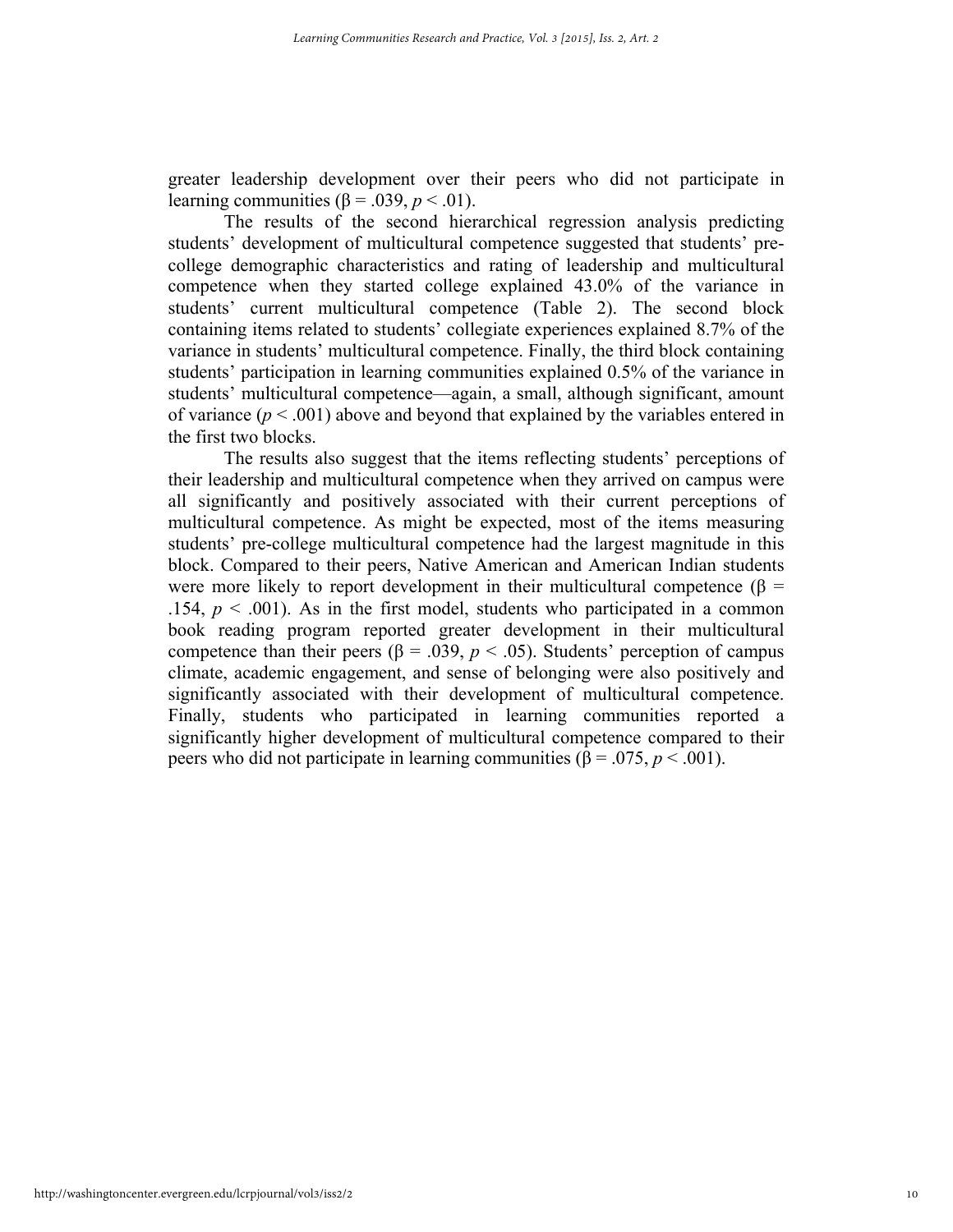greater leadership development over their peers who did not participate in learning communities ( $\beta$  = .039, *p* < .01).

The results of the second hierarchical regression analysis predicting students' development of multicultural competence suggested that students' precollege demographic characteristics and rating of leadership and multicultural competence when they started college explained 43.0% of the variance in students' current multicultural competence (Table 2). The second block containing items related to students' collegiate experiences explained 8.7% of the variance in students' multicultural competence. Finally, the third block containing students' participation in learning communities explained 0.5% of the variance in students' multicultural competence—again, a small, although significant, amount of variance  $(p < .001)$  above and beyond that explained by the variables entered in the first two blocks.

The results also suggest that the items reflecting students' perceptions of their leadership and multicultural competence when they arrived on campus were all significantly and positively associated with their current perceptions of multicultural competence. As might be expected, most of the items measuring students' pre-college multicultural competence had the largest magnitude in this block. Compared to their peers, Native American and American Indian students were more likely to report development in their multicultural competence ( $\beta$  = .154,  $p < .001$ ). As in the first model, students who participated in a common book reading program reported greater development in their multicultural competence than their peers ( $\beta$  = .039,  $p$  < .05). Students' perception of campus climate, academic engagement, and sense of belonging were also positively and significantly associated with their development of multicultural competence. Finally, students who participated in learning communities reported a significantly higher development of multicultural competence compared to their peers who did not participate in learning communities ( $β = .075, p < .001$ ).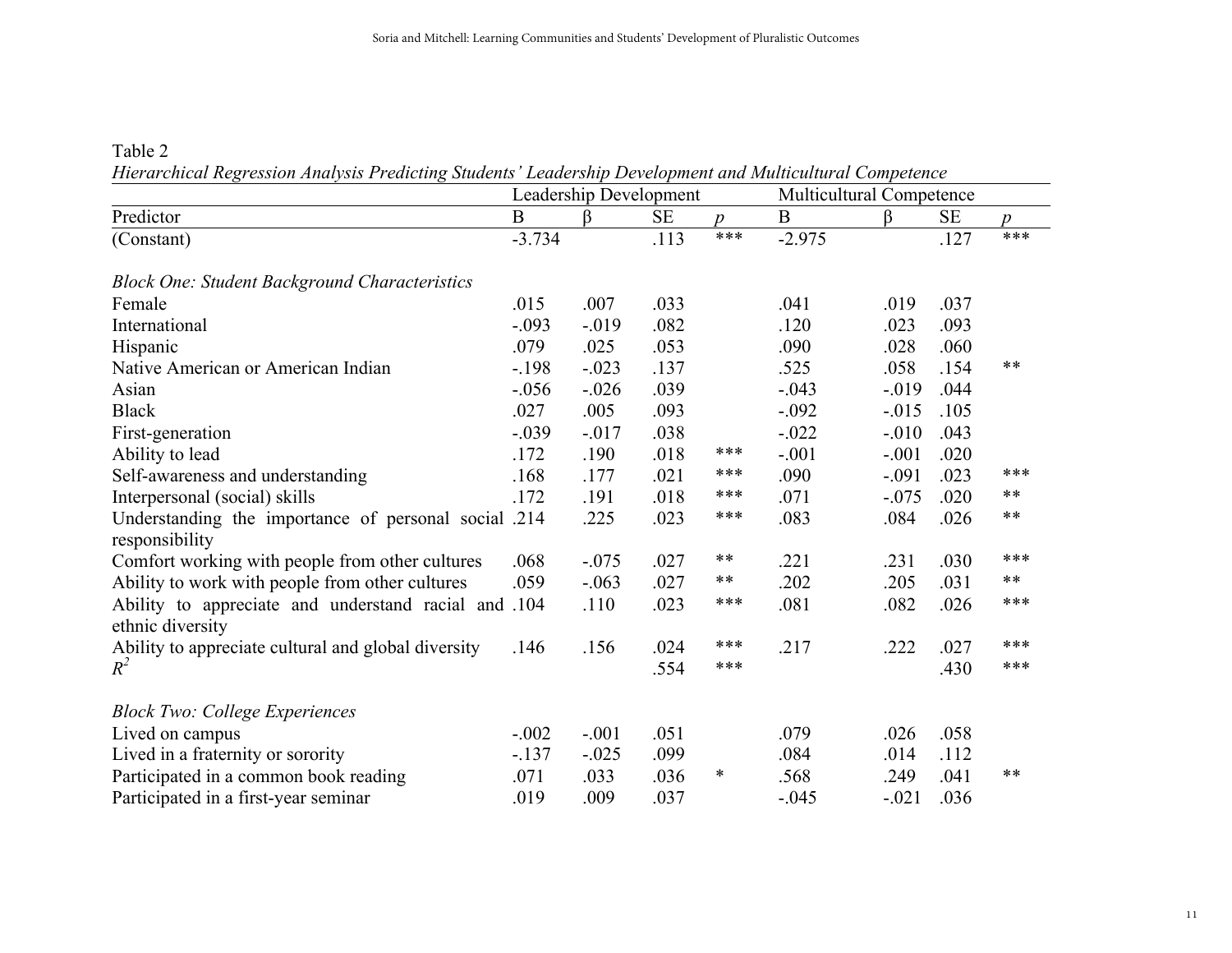Table 2 *Hierarchical Regression Analysis Predicting Students' Leadership Development and Multicultural Competence*

|                                                                          | Leadership Development |          |           |               | Multicultural Competence |          |           |               |
|--------------------------------------------------------------------------|------------------------|----------|-----------|---------------|--------------------------|----------|-----------|---------------|
| Predictor                                                                | $\bf{B}$               | ß        | <b>SE</b> | $\mathcal{D}$ | $\bf{B}$                 | ß.       | <b>SE</b> | $\mathcal{D}$ |
| (Constant)                                                               | $-3.734$               |          | .113      | ***           | $-2.975$                 |          | .127      | ***           |
| <b>Block One: Student Background Characteristics</b>                     |                        |          |           |               |                          |          |           |               |
| Female                                                                   | .015                   | .007     | .033      |               | .041                     | .019     | .037      |               |
| International                                                            | $-.093$                | $-019$   | .082      |               | .120                     | .023     | .093      |               |
| Hispanic                                                                 | .079                   | .025     | .053      |               | .090                     | .028     | .060      |               |
| Native American or American Indian                                       | $-198$                 | $-.023$  | .137      |               | .525                     | .058     | .154      | $***$         |
| Asian                                                                    | $-0.056$               | $-0.026$ | .039      |               | $-.043$                  | $-019$   | .044      |               |
| <b>Black</b>                                                             | .027                   | .005     | .093      |               | $-.092$                  | $-0.015$ | .105      |               |
| First-generation                                                         | $-.039$                | $-0.017$ | .038      |               | $-.022$                  | $-.010$  | .043      |               |
| Ability to lead                                                          | .172                   | .190     | .018      | ***           | $-.001$                  | $-.001$  | .020      |               |
| Self-awareness and understanding                                         | .168                   | .177     | .021      | $***$         | .090                     | $-.091$  | .023      | ***           |
| Interpersonal (social) skills                                            | .172                   | .191     | .018      | ***           | .071                     | $-.075$  | .020      | $***$         |
| Understanding the importance of personal social .214<br>responsibility   |                        | .225     | .023      | ***           | .083                     | .084     | .026      | $***$         |
| Comfort working with people from other cultures                          | .068                   | $-.075$  | .027      | $***$         | .221                     | .231     | .030      | ***           |
| Ability to work with people from other cultures                          | .059                   | $-.063$  | .027      | $***$         | .202                     | .205     | .031      | $***$         |
| Ability to appreciate and understand racial and .104<br>ethnic diversity |                        | .110     | .023      | ***           | .081                     | .082     | .026      | ***           |
| Ability to appreciate cultural and global diversity                      | .146                   | .156     | .024      | ***           | .217                     | .222     | .027      | ***           |
| $R^2$                                                                    |                        |          | .554      | ***           |                          |          | .430      | ***           |
| <b>Block Two: College Experiences</b>                                    |                        |          |           |               |                          |          |           |               |
| Lived on campus                                                          | $-.002$                | $-.001$  | .051      |               | .079                     | .026     | .058      |               |
| Lived in a fraternity or sorority                                        | $-.137$                | $-.025$  | .099      |               | .084                     | .014     | .112      |               |
| Participated in a common book reading                                    | .071                   | .033     | .036      | $\ast$        | .568                     | .249     | .041      | $***$         |
| Participated in a first-year seminar                                     | .019                   | .009     | .037      |               | $-.045$                  | $-.021$  | .036      |               |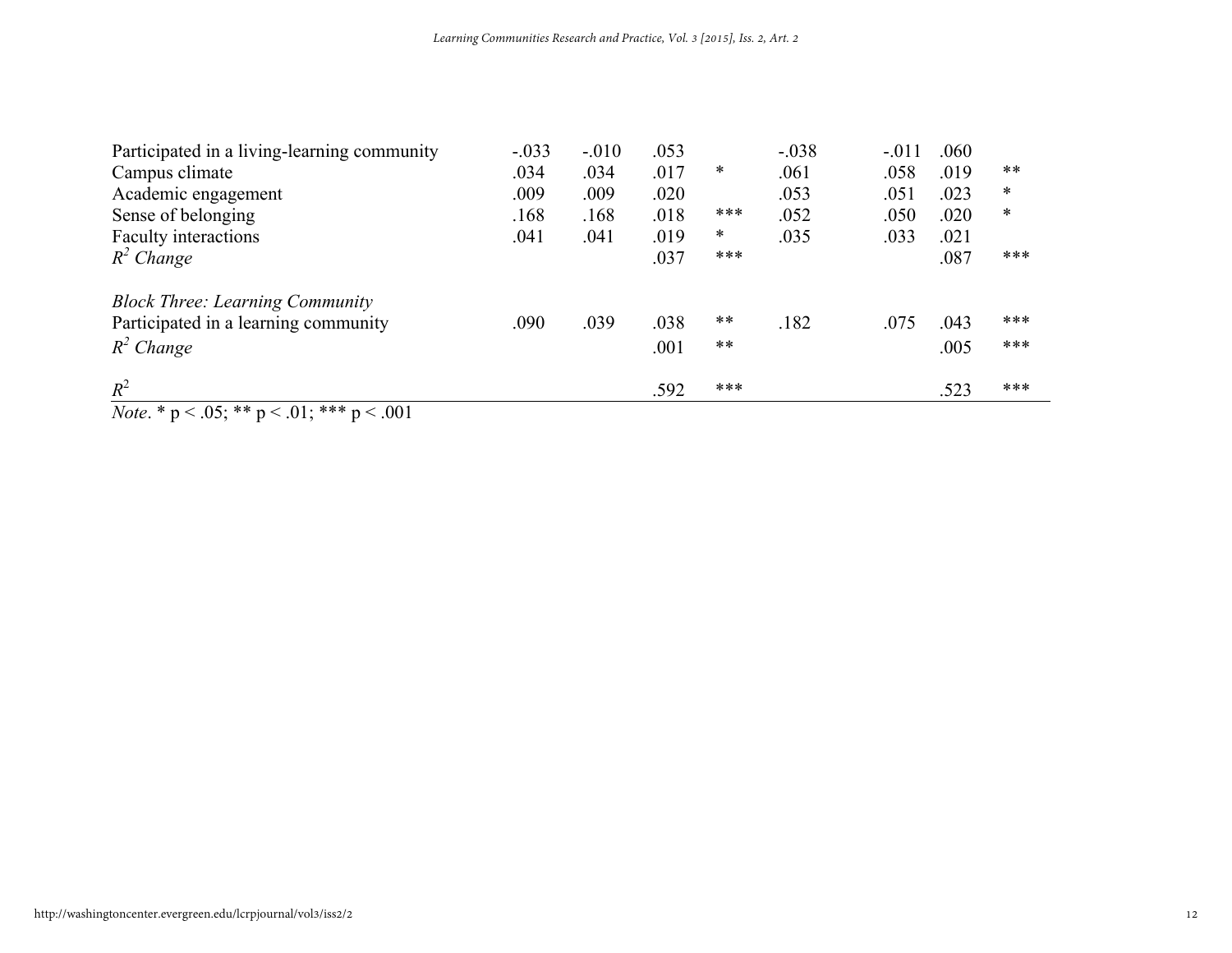| Participated in a living-learning community | $-.033$ | $-.010$ | .053 |        | $-.038$ | $-.011$ | .060 |        |
|---------------------------------------------|---------|---------|------|--------|---------|---------|------|--------|
| Campus climate                              | .034    | .034    | .017 | *      | .061    | .058    | .019 | $***$  |
| Academic engagement                         | .009    | .009    | .020 |        | .053    | .051    | .023 | $\ast$ |
| Sense of belonging                          | .168    | .168    | .018 | ***    | .052    | .050    | .020 | $\ast$ |
| Faculty interactions                        | .041    | .041    | .019 | $\ast$ | .035    | .033    | .021 |        |
| $R^2$ Change                                |         |         | .037 | ***    |         |         | .087 | ***    |
| <b>Block Three: Learning Community</b>      |         |         |      |        |         |         |      |        |
| Participated in a learning community        | .090    | .039    | .038 | **     | .182    | .075    | .043 | ***    |
| $R^2$ Change                                |         |         | .001 | $***$  |         |         | .005 | ***    |
| $R^2$                                       |         |         | .592 | ***    |         |         | .523 | ***    |

*Note*. \* p < .05; \*\* p < .01; \*\*\* p < .001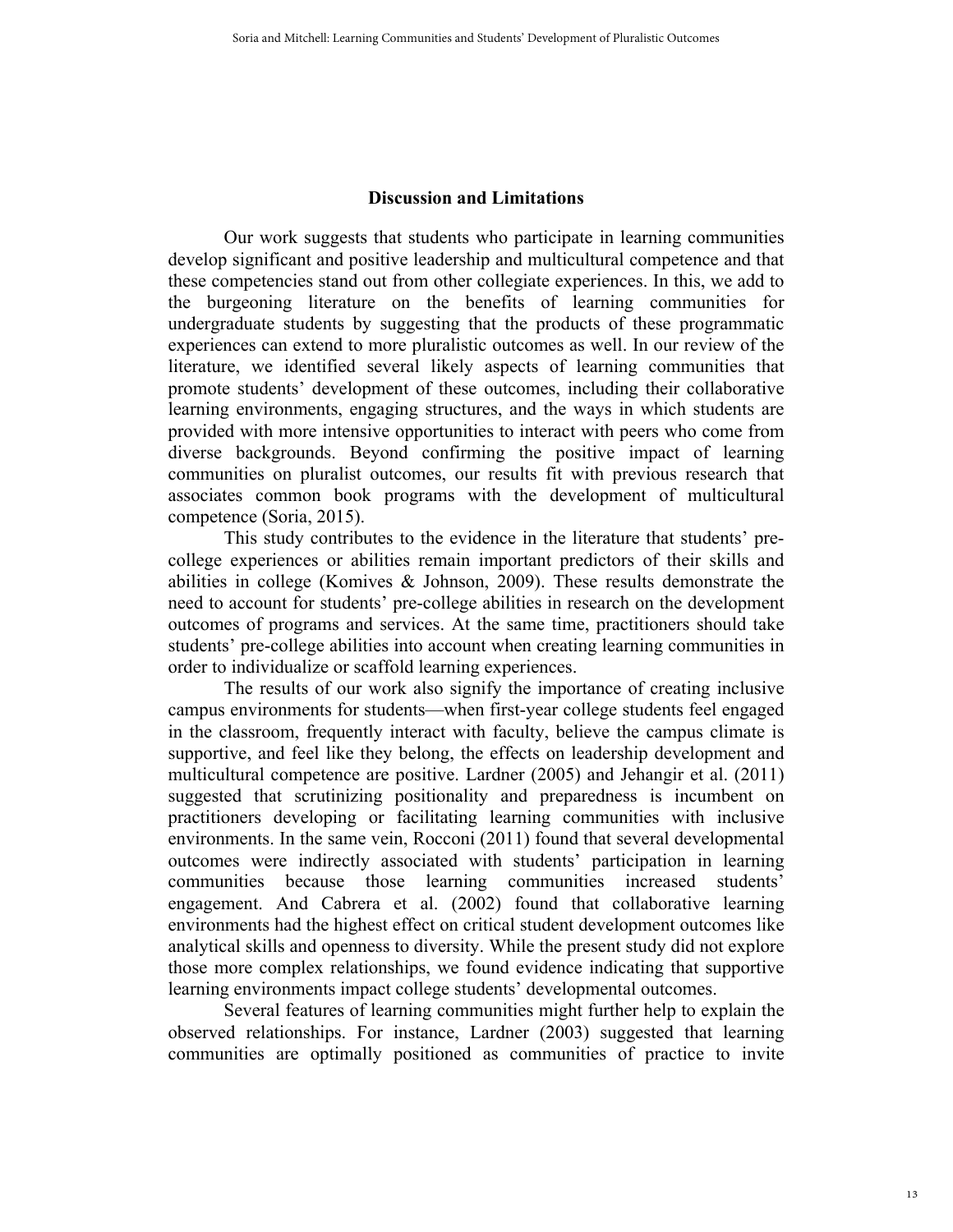# **Discussion and Limitations**

Our work suggests that students who participate in learning communities develop significant and positive leadership and multicultural competence and that these competencies stand out from other collegiate experiences. In this, we add to the burgeoning literature on the benefits of learning communities for undergraduate students by suggesting that the products of these programmatic experiences can extend to more pluralistic outcomes as well. In our review of the literature, we identified several likely aspects of learning communities that promote students' development of these outcomes, including their collaborative learning environments, engaging structures, and the ways in which students are provided with more intensive opportunities to interact with peers who come from diverse backgrounds. Beyond confirming the positive impact of learning communities on pluralist outcomes, our results fit with previous research that associates common book programs with the development of multicultural competence (Soria, 2015).

This study contributes to the evidence in the literature that students' precollege experiences or abilities remain important predictors of their skills and abilities in college (Komives & Johnson, 2009). These results demonstrate the need to account for students' pre-college abilities in research on the development outcomes of programs and services. At the same time, practitioners should take students' pre-college abilities into account when creating learning communities in order to individualize or scaffold learning experiences.

The results of our work also signify the importance of creating inclusive campus environments for students—when first-year college students feel engaged in the classroom, frequently interact with faculty, believe the campus climate is supportive, and feel like they belong, the effects on leadership development and multicultural competence are positive. Lardner (2005) and Jehangir et al. (2011) suggested that scrutinizing positionality and preparedness is incumbent on practitioners developing or facilitating learning communities with inclusive environments. In the same vein, Rocconi (2011) found that several developmental outcomes were indirectly associated with students' participation in learning communities because those learning communities increased students' engagement. And Cabrera et al. (2002) found that collaborative learning environments had the highest effect on critical student development outcomes like analytical skills and openness to diversity. While the present study did not explore those more complex relationships, we found evidence indicating that supportive learning environments impact college students' developmental outcomes.

Several features of learning communities might further help to explain the observed relationships. For instance, Lardner (2003) suggested that learning communities are optimally positioned as communities of practice to invite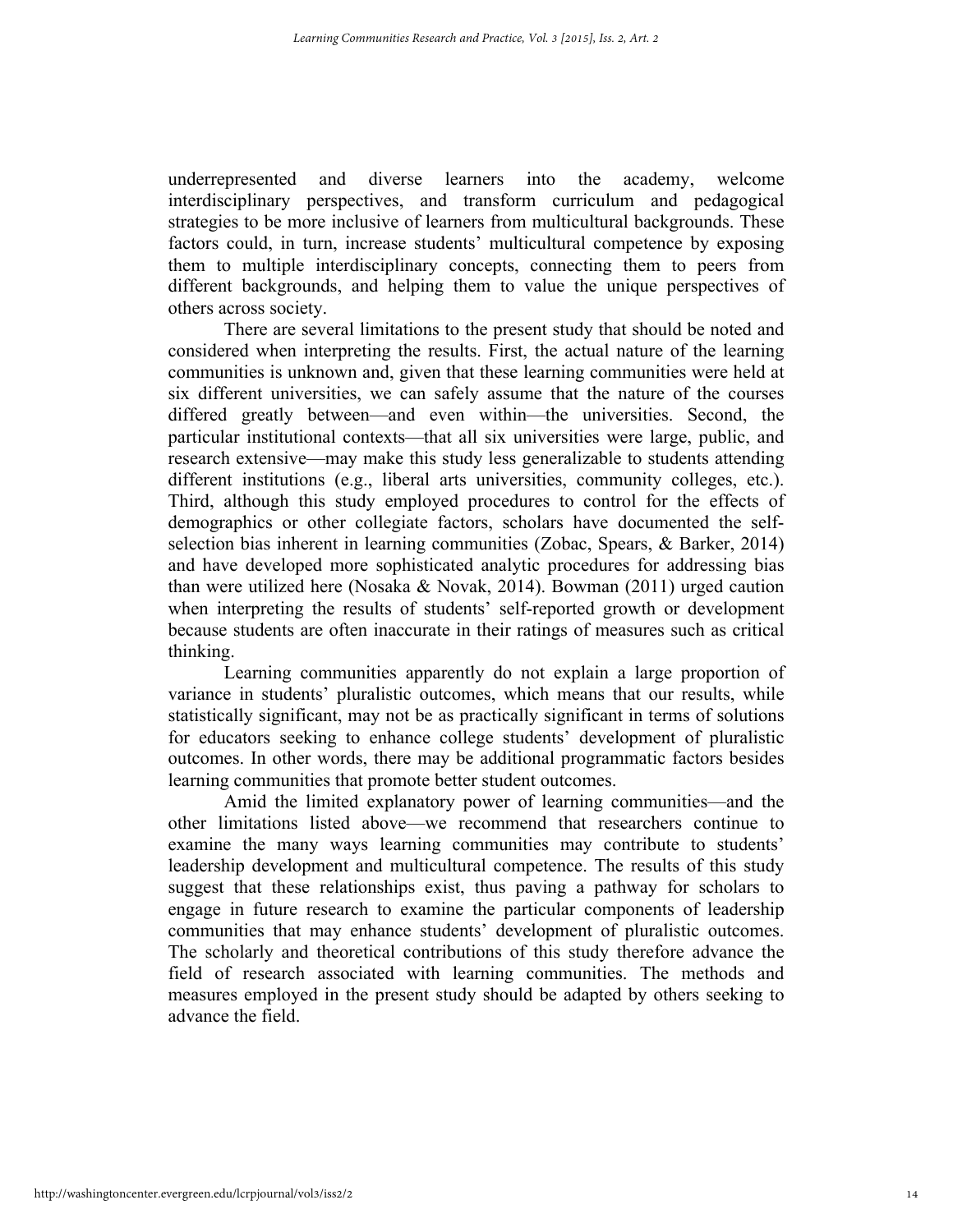underrepresented and diverse learners into the academy, welcome interdisciplinary perspectives, and transform curriculum and pedagogical strategies to be more inclusive of learners from multicultural backgrounds. These factors could, in turn, increase students' multicultural competence by exposing them to multiple interdisciplinary concepts, connecting them to peers from different backgrounds, and helping them to value the unique perspectives of others across society.

There are several limitations to the present study that should be noted and considered when interpreting the results. First, the actual nature of the learning communities is unknown and, given that these learning communities were held at six different universities, we can safely assume that the nature of the courses differed greatly between—and even within—the universities. Second, the particular institutional contexts—that all six universities were large, public, and research extensive—may make this study less generalizable to students attending different institutions (e.g., liberal arts universities, community colleges, etc.). Third, although this study employed procedures to control for the effects of demographics or other collegiate factors, scholars have documented the selfselection bias inherent in learning communities (Zobac, Spears, & Barker, 2014) and have developed more sophisticated analytic procedures for addressing bias than were utilized here (Nosaka & Novak, 2014). Bowman (2011) urged caution when interpreting the results of students' self-reported growth or development because students are often inaccurate in their ratings of measures such as critical thinking.

Learning communities apparently do not explain a large proportion of variance in students' pluralistic outcomes, which means that our results, while statistically significant, may not be as practically significant in terms of solutions for educators seeking to enhance college students' development of pluralistic outcomes. In other words, there may be additional programmatic factors besides learning communities that promote better student outcomes.

Amid the limited explanatory power of learning communities—and the other limitations listed above—we recommend that researchers continue to examine the many ways learning communities may contribute to students' leadership development and multicultural competence. The results of this study suggest that these relationships exist, thus paving a pathway for scholars to engage in future research to examine the particular components of leadership communities that may enhance students' development of pluralistic outcomes. The scholarly and theoretical contributions of this study therefore advance the field of research associated with learning communities. The methods and measures employed in the present study should be adapted by others seeking to advance the field.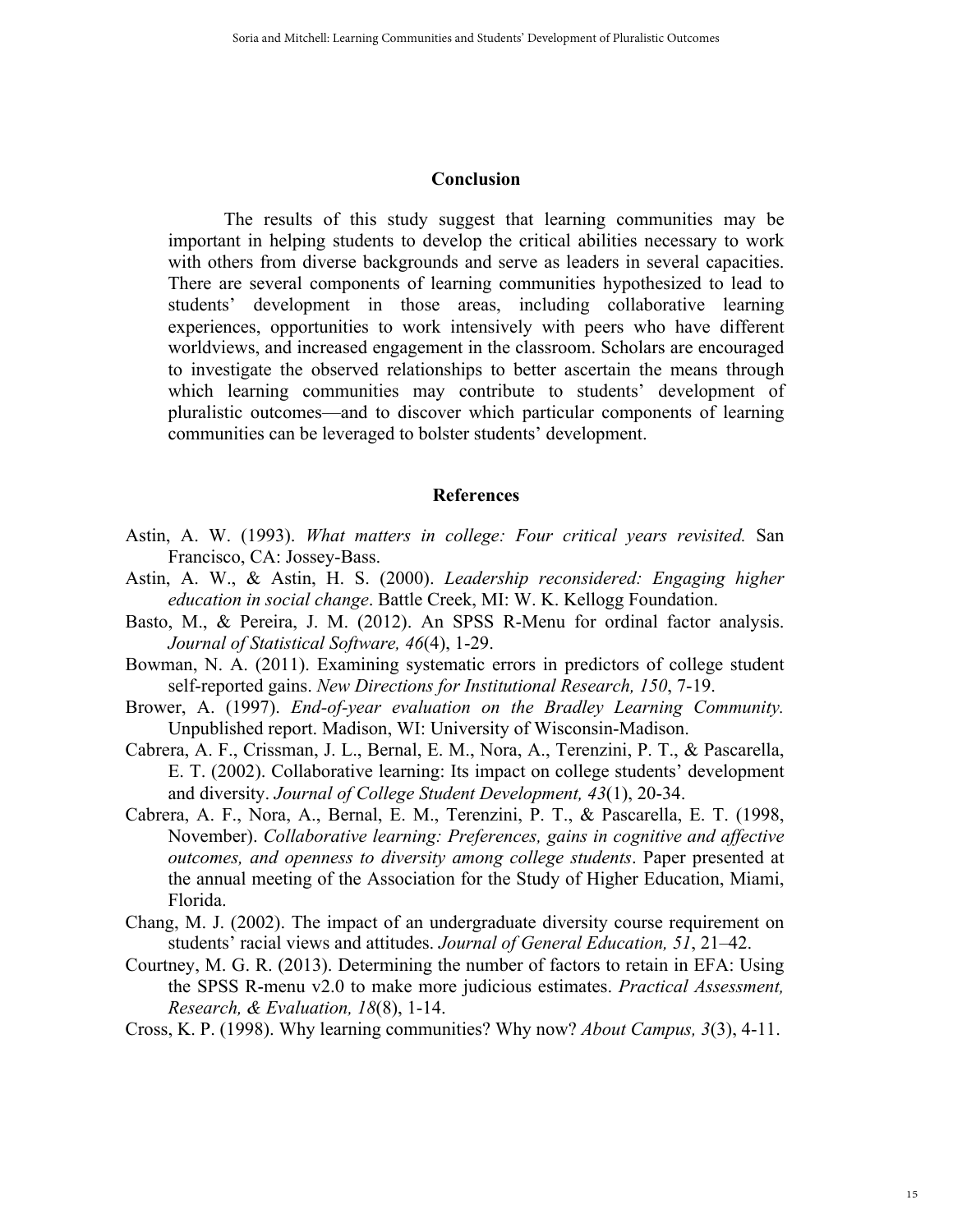#### **Conclusion**

The results of this study suggest that learning communities may be important in helping students to develop the critical abilities necessary to work with others from diverse backgrounds and serve as leaders in several capacities. There are several components of learning communities hypothesized to lead to students' development in those areas, including collaborative learning experiences, opportunities to work intensively with peers who have different worldviews, and increased engagement in the classroom. Scholars are encouraged to investigate the observed relationships to better ascertain the means through which learning communities may contribute to students' development of pluralistic outcomes—and to discover which particular components of learning communities can be leveraged to bolster students' development.

## **References**

- Astin, A. W. (1993). *What matters in college: Four critical years revisited.* San Francisco, CA: Jossey-Bass.
- Astin, A. W., & Astin, H. S. (2000). *Leadership reconsidered: Engaging higher education in social change*. Battle Creek, MI: W. K. Kellogg Foundation.
- Basto, M., & Pereira, J. M. (2012). An SPSS R-Menu for ordinal factor analysis. *Journal of Statistical Software, 46*(4), 1-29.
- Bowman, N. A. (2011). Examining systematic errors in predictors of college student self-reported gains. *New Directions for Institutional Research, 150*, 7-19.
- Brower, A. (1997). *End-of-year evaluation on the Bradley Learning Community.*  Unpublished report. Madison, WI: University of Wisconsin-Madison.
- Cabrera, A. F., Crissman, J. L., Bernal, E. M., Nora, A., Terenzini, P. T., & Pascarella, E. T. (2002). Collaborative learning: Its impact on college students' development and diversity. *Journal of College Student Development, 43*(1), 20-34.
- Cabrera, A. F., Nora, A., Bernal, E. M., Terenzini, P. T., & Pascarella, E. T. (1998, November). *Collaborative learning: Preferences, gains in cognitive and affective outcomes, and openness to diversity among college students*. Paper presented at the annual meeting of the Association for the Study of Higher Education, Miami, Florida.
- Chang, M. J. (2002). The impact of an undergraduate diversity course requirement on students' racial views and attitudes. *Journal of General Education, 51*, 21–42.
- Courtney, M. G. R. (2013). Determining the number of factors to retain in EFA: Using the SPSS R-menu v2.0 to make more judicious estimates. *Practical Assessment, Research, & Evaluation, 18*(8), 1-14.
- Cross, K. P. (1998). Why learning communities? Why now? *About Campus, 3*(3), 4-11.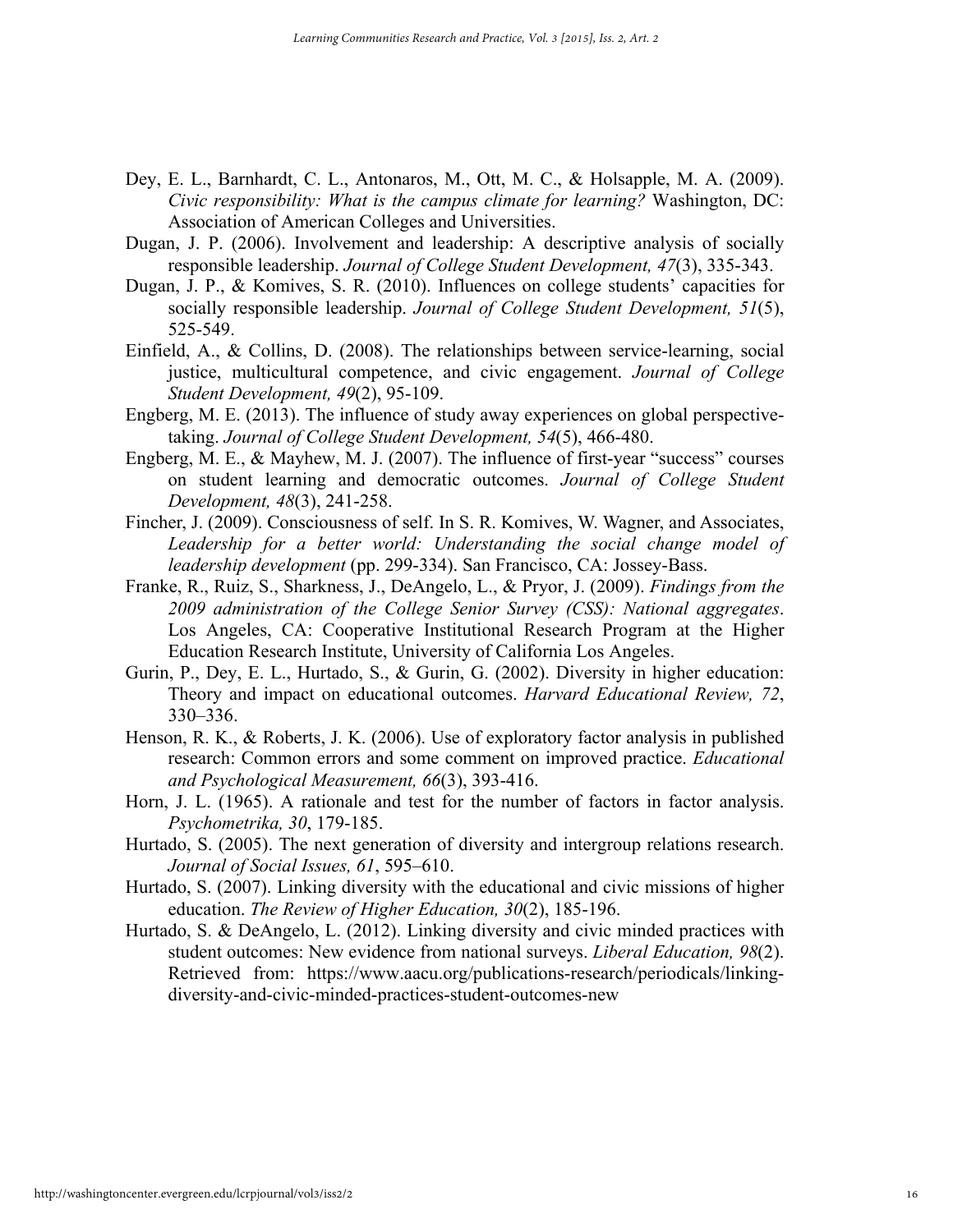- Dey, E. L., Barnhardt, C. L., Antonaros, M., Ott, M. C., & Holsapple, M. A. (2009). *Civic responsibility: What is the campus climate for learning?* Washington, DC: Association of American Colleges and Universities.
- Dugan, J. P. (2006). Involvement and leadership: A descriptive analysis of socially responsible leadership. *Journal of College Student Development, 47*(3), 335-343.
- Dugan, J. P., & Komives, S. R. (2010). Influences on college students' capacities for socially responsible leadership. *Journal of College Student Development, 51*(5), 525-549.
- Einfield, A., & Collins, D. (2008). The relationships between service-learning, social justice, multicultural competence, and civic engagement. *Journal of College Student Development, 49*(2), 95-109.
- Engberg, M. E. (2013). The influence of study away experiences on global perspectivetaking. *Journal of College Student Development, 54*(5), 466-480.
- Engberg, M. E., & Mayhew, M. J. (2007). The influence of first-year "success" courses on student learning and democratic outcomes. *Journal of College Student Development, 48*(3), 241-258.
- Fincher, J. (2009). Consciousness of self. In S. R. Komives, W. Wagner, and Associates, Leadership for a better world: Understanding the social change model of *leadership development* (pp. 299-334). San Francisco, CA: Jossey-Bass.
- Franke, R., Ruiz, S., Sharkness, J., DeAngelo, L., & Pryor, J. (2009). *Findings from the 2009 administration of the College Senior Survey (CSS): National aggregates*. Los Angeles, CA: Cooperative Institutional Research Program at the Higher Education Research Institute, University of California Los Angeles.
- Gurin, P., Dey, E. L., Hurtado, S., & Gurin, G. (2002). Diversity in higher education: Theory and impact on educational outcomes. *Harvard Educational Review, 72*, 330–336.
- Henson, R. K., & Roberts, J. K. (2006). Use of exploratory factor analysis in published research: Common errors and some comment on improved practice. *Educational and Psychological Measurement, 66*(3), 393-416.
- Horn, J. L. (1965). A rationale and test for the number of factors in factor analysis. *Psychometrika, 30*, 179-185.
- Hurtado, S. (2005). The next generation of diversity and intergroup relations research. *Journal of Social Issues, 61*, 595–610.
- Hurtado, S. (2007). Linking diversity with the educational and civic missions of higher education. *The Review of Higher Education, 30*(2), 185-196.
- Hurtado, S. & DeAngelo, L. (2012). Linking diversity and civic minded practices with student outcomes: New evidence from national surveys. *Liberal Education, 98*(2). Retrieved from: https://www.aacu.org/publications-research/periodicals/linkingdiversity-and-civic-minded-practices-student-outcomes-new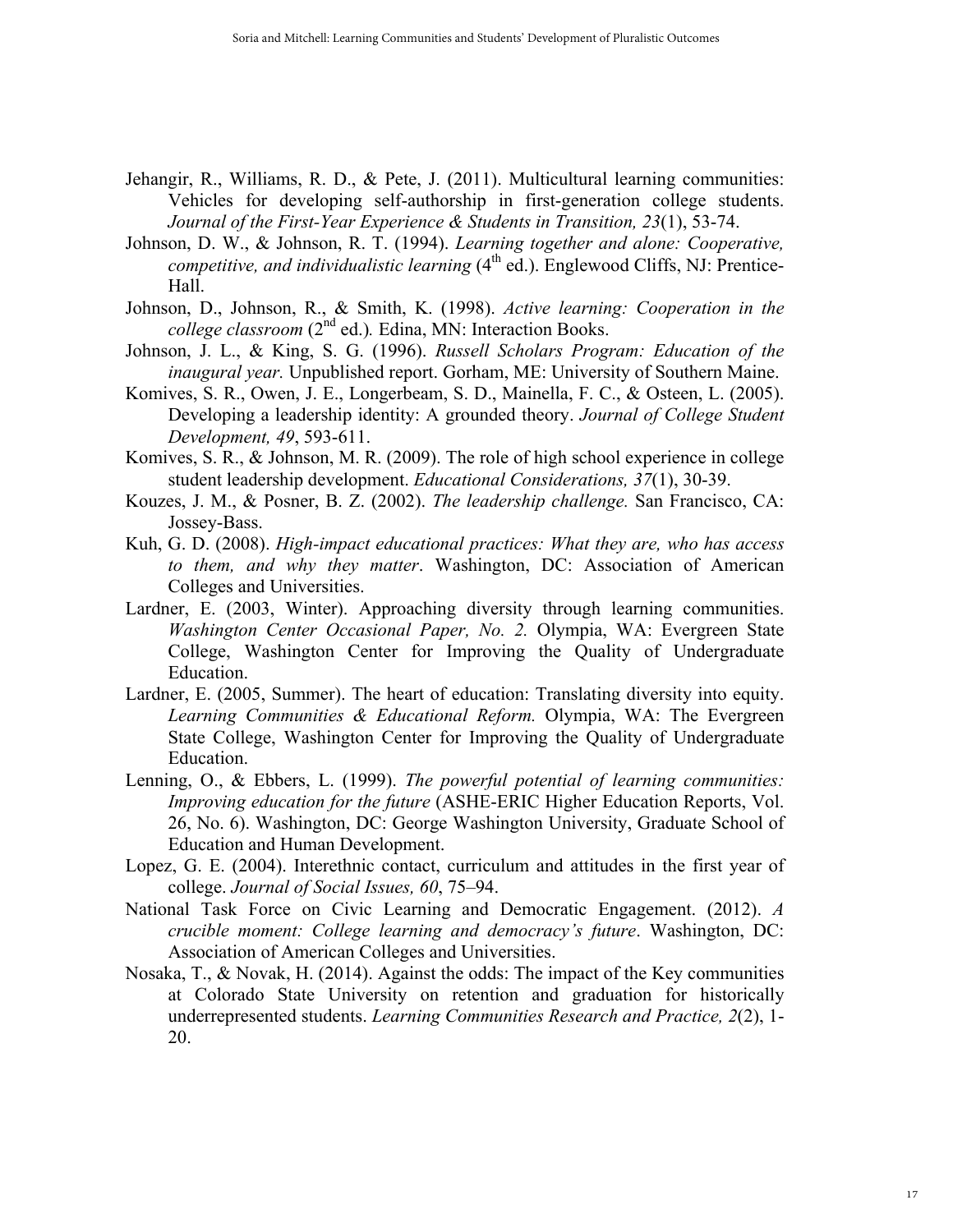- Jehangir, R., Williams, R. D., & Pete, J. (2011). Multicultural learning communities: Vehicles for developing self-authorship in first-generation college students. *Journal of the First-Year Experience & Students in Transition, 23*(1), 53-74.
- Johnson, D. W., & Johnson, R. T. (1994). *Learning together and alone: Cooperative, competitive, and individualistic learning* (4<sup>th</sup> ed.). Englewood Cliffs, NJ: Prentice-Hall.
- Johnson, D., Johnson, R., & Smith, K. (1998). *Active learning: Cooperation in the college classroom* (2<sup>nd</sup> ed.). Edina, MN: Interaction Books.
- Johnson, J. L., & King, S. G. (1996). *Russell Scholars Program: Education of the inaugural year.* Unpublished report. Gorham, ME: University of Southern Maine.
- Komives, S. R., Owen, J. E., Longerbeam, S. D., Mainella, F. C., & Osteen, L. (2005). Developing a leadership identity: A grounded theory. *Journal of College Student Development, 49*, 593-611.
- Komives, S. R., & Johnson, M. R. (2009). The role of high school experience in college student leadership development. *Educational Considerations, 37*(1), 30-39.
- Kouzes, J. M., & Posner, B. Z. (2002). *The leadership challenge.* San Francisco, CA: Jossey-Bass.
- Kuh, G. D. (2008). *High-impact educational practices: What they are, who has access to them, and why they matter*. Washington, DC: Association of American Colleges and Universities.
- Lardner, E. (2003, Winter). Approaching diversity through learning communities. *Washington Center Occasional Paper, No. 2.* Olympia, WA: Evergreen State College, Washington Center for Improving the Quality of Undergraduate Education.
- Lardner, E. (2005, Summer). The heart of education: Translating diversity into equity. *Learning Communities & Educational Reform.* Olympia, WA: The Evergreen State College, Washington Center for Improving the Quality of Undergraduate Education.
- Lenning, O., & Ebbers, L. (1999). *The powerful potential of learning communities: Improving education for the future* (ASHE-ERIC Higher Education Reports, Vol. 26, No. 6). Washington, DC: George Washington University, Graduate School of Education and Human Development.
- Lopez, G. E. (2004). Interethnic contact, curriculum and attitudes in the first year of college. *Journal of Social Issues, 60*, 75–94.
- National Task Force on Civic Learning and Democratic Engagement. (2012). *A crucible moment: College learning and democracy's future*. Washington, DC: Association of American Colleges and Universities.
- Nosaka, T., & Novak, H. (2014). Against the odds: The impact of the Key communities at Colorado State University on retention and graduation for historically underrepresented students. *Learning Communities Research and Practice, 2*(2), 1- 20.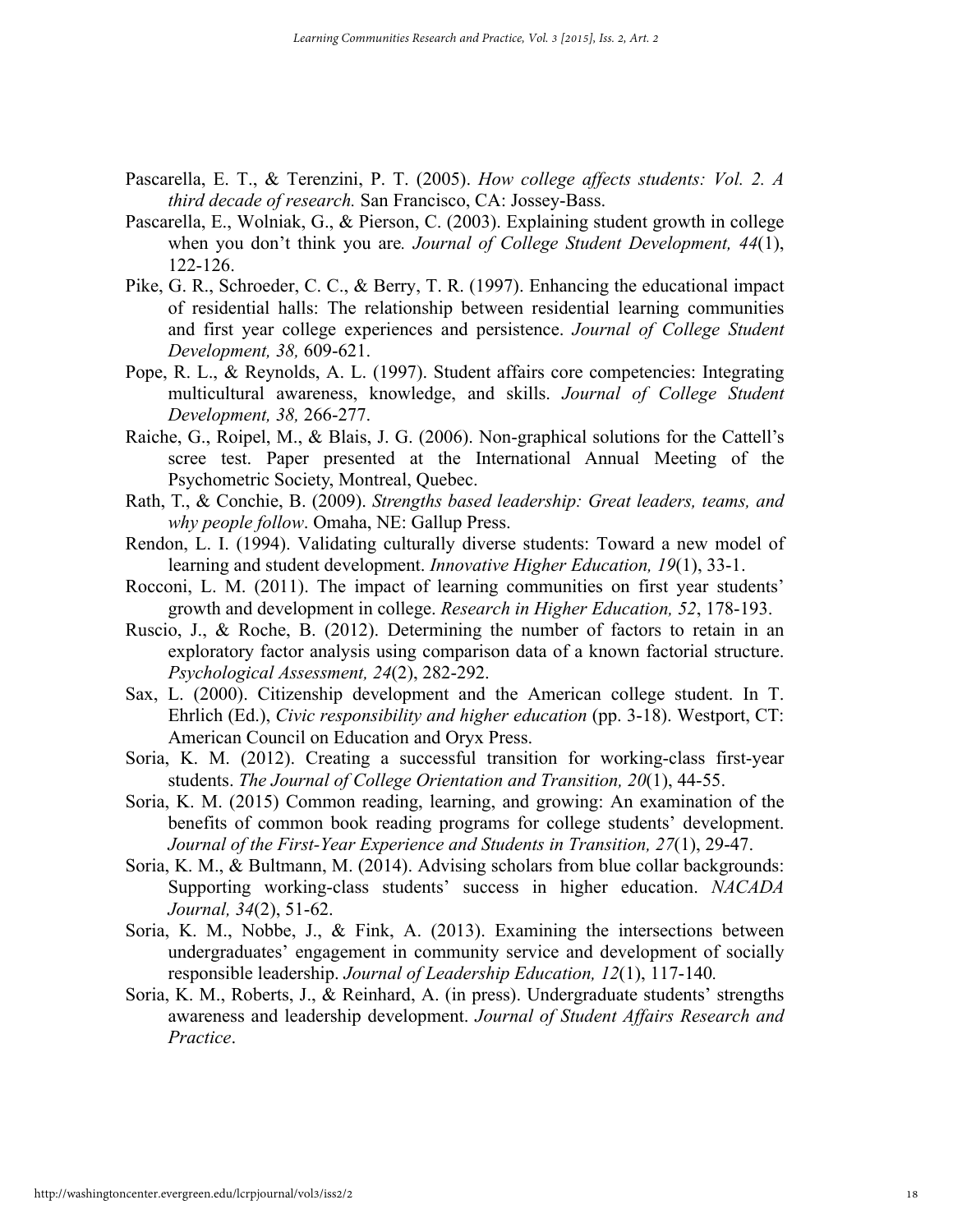- Pascarella, E. T., & Terenzini, P. T. (2005). *How college affects students: Vol. 2. A third decade of research.* San Francisco, CA: Jossey-Bass.
- Pascarella, E., Wolniak, G., & Pierson, C. (2003). Explaining student growth in college when you don't think you are*. Journal of College Student Development, 44*(1), 122-126.
- Pike, G. R., Schroeder, C. C., & Berry, T. R. (1997). Enhancing the educational impact of residential halls: The relationship between residential learning communities and first year college experiences and persistence. *Journal of College Student Development, 38,* 609-621.
- Pope, R. L., & Reynolds, A. L. (1997). Student affairs core competencies: Integrating multicultural awareness, knowledge, and skills. *Journal of College Student Development, 38,* 266-277.
- Raiche, G., Roipel, M., & Blais, J. G. (2006). Non-graphical solutions for the Cattell's scree test. Paper presented at the International Annual Meeting of the Psychometric Society, Montreal, Quebec.
- Rath, T., & Conchie, B. (2009). *Strengths based leadership: Great leaders, teams, and why people follow*. Omaha, NE: Gallup Press.
- Rendon, L. I. (1994). Validating culturally diverse students: Toward a new model of learning and student development. *Innovative Higher Education, 19*(1), 33-1.
- Rocconi, L. M. (2011). The impact of learning communities on first year students' growth and development in college. *Research in Higher Education, 52*, 178-193.
- Ruscio, J., & Roche, B. (2012). Determining the number of factors to retain in an exploratory factor analysis using comparison data of a known factorial structure. *Psychological Assessment, 24*(2), 282-292.
- Sax, L. (2000). Citizenship development and the American college student. In T. Ehrlich (Ed.), *Civic responsibility and higher education* (pp. 3-18). Westport, CT: American Council on Education and Oryx Press.
- Soria, K. M. (2012). Creating a successful transition for working-class first-year students. *The Journal of College Orientation and Transition, 20*(1), 44-55.
- Soria, K. M. (2015) Common reading, learning, and growing: An examination of the benefits of common book reading programs for college students' development. *Journal of the First-Year Experience and Students in Transition, 27*(1), 29-47.
- Soria, K. M., & Bultmann, M. (2014). Advising scholars from blue collar backgrounds: Supporting working-class students' success in higher education. *NACADA Journal, 34*(2), 51-62.
- Soria, K. M., Nobbe, J., & Fink, A. (2013). Examining the intersections between undergraduates' engagement in community service and development of socially responsible leadership. *Journal of Leadership Education, 12*(1), 117-140*.*
- Soria, K. M., Roberts, J., & Reinhard, A. (in press). Undergraduate students' strengths awareness and leadership development. *Journal of Student Affairs Research and Practice*.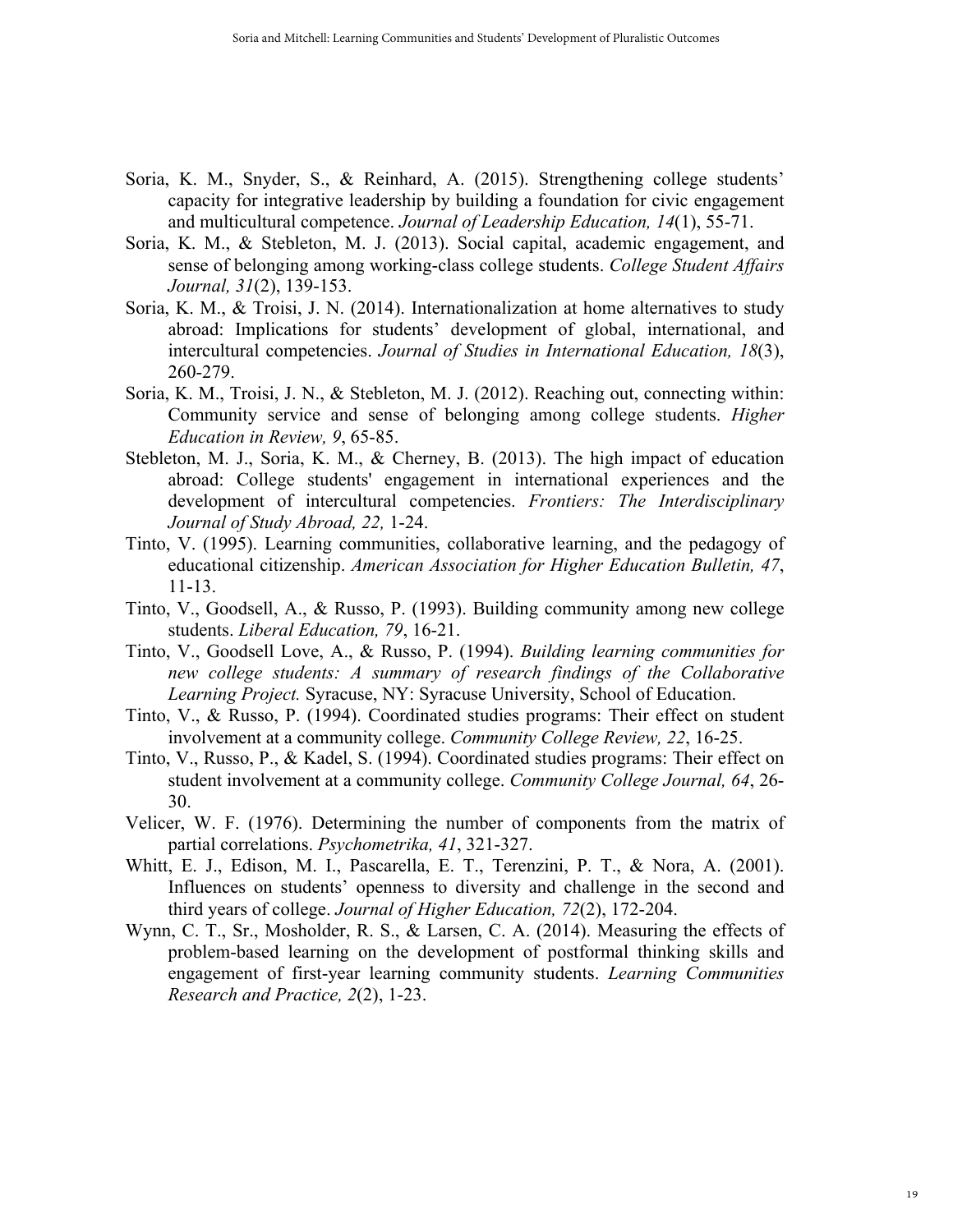- Soria, K. M., Snyder, S., & Reinhard, A. (2015). Strengthening college students' capacity for integrative leadership by building a foundation for civic engagement and multicultural competence. *Journal of Leadership Education, 14*(1), 55-71.
- Soria, K. M., & Stebleton, M. J. (2013). Social capital, academic engagement, and sense of belonging among working-class college students. *College Student Affairs Journal, 31*(2), 139-153.
- Soria, K. M., & Troisi, J. N. (2014). Internationalization at home alternatives to study abroad: Implications for students' development of global, international, and intercultural competencies. *Journal of Studies in International Education, 18*(3), 260-279.
- Soria, K. M., Troisi, J. N., & Stebleton, M. J. (2012). Reaching out, connecting within: Community service and sense of belonging among college students. *Higher Education in Review, 9*, 65-85.
- Stebleton, M. J., Soria, K. M., & Cherney, B. (2013). The high impact of education abroad: College students' engagement in international experiences and the development of intercultural competencies. *Frontiers: The Interdisciplinary Journal of Study Abroad, 22,* 1-24.
- Tinto, V. (1995). Learning communities, collaborative learning, and the pedagogy of educational citizenship. *American Association for Higher Education Bulletin, 47*, 11-13.
- Tinto, V., Goodsell, A., & Russo, P. (1993). Building community among new college students. *Liberal Education, 79*, 16-21.
- Tinto, V., Goodsell Love, A., & Russo, P. (1994). *Building learning communities for new college students: A summary of research findings of the Collaborative Learning Project.* Syracuse, NY: Syracuse University, School of Education.
- Tinto, V., & Russo, P. (1994). Coordinated studies programs: Their effect on student involvement at a community college. *Community College Review, 22*, 16-25.
- Tinto, V., Russo, P., & Kadel, S. (1994). Coordinated studies programs: Their effect on student involvement at a community college. *Community College Journal, 64*, 26- 30.
- Velicer, W. F. (1976). Determining the number of components from the matrix of partial correlations. *Psychometrika, 41*, 321-327.
- Whitt, E. J., Edison, M. I., Pascarella, E. T., Terenzini, P. T., & Nora, A. (2001). Influences on students' openness to diversity and challenge in the second and third years of college. *Journal of Higher Education, 72*(2), 172-204.
- Wynn, C. T., Sr., Mosholder, R. S., & Larsen, C. A. (2014). Measuring the effects of problem-based learning on the development of postformal thinking skills and engagement of first-year learning community students. *Learning Communities Research and Practice, 2*(2), 1-23.